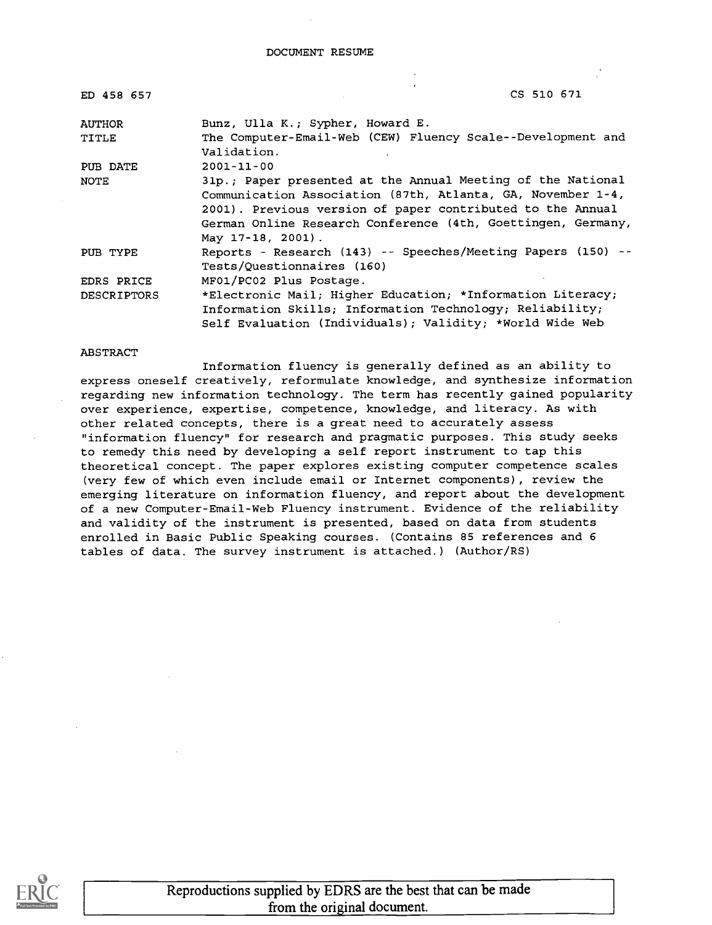| ED 458 657         | CS 510 671                                                   |
|--------------------|--------------------------------------------------------------|
| <b>AUTHOR</b>      | Bunz, Ulla K.; Sypher, Howard E.                             |
| TITLE              | The Computer-Email-Web (CEW) Fluency Scale--Development and  |
|                    | Validation.                                                  |
| PUB DATE           | $2001 - 11 - 00$                                             |
| NOTE               | 31p.; Paper presented at the Annual Meeting of the National  |
|                    | Communication Association (87th, Atlanta, GA, November 1-4,  |
|                    | 2001). Previous version of paper contributed to the Annual   |
|                    | German Online Research Conference (4th, Goettingen, Germany, |
|                    | May $17-18$ , $2001$ ).                                      |
| PUB TYPE           | Reports - Research (143) -- Speeches/Meeting Papers (150) -- |
|                    | Tests/Questionnaires (160)                                   |
| EDRS PRICE         | MF01/PC02 Plus Postage.                                      |
| <b>DESCRIPTORS</b> | *Electronic Mail; Higher Education; *Information Literacy;   |
|                    | Information Skills; Information Technology; Reliability;     |
|                    | Self Evaluation (Individuals); Validity; *World Wide Web     |

#### ABSTRACT

Information fluency is generally defined as an ability to express oneself creatively, reformulate knowledge, and synthesize information regarding new information technology. The term has recently gained popularity over experience, expertise, competence, knowledge, and literacy. As with other related concepts, there is a great need to accurately assess "information fluency" for research and pragmatic purposes. This study seeks to remedy this need by developing a self report instrument to tap this theoretical concept. The paper explores existing computer competence scales (very few of which even include email or Internet components) , review the emerging literature on information fluency, and report about the development of a new Computer-Email-Web Fluency instrument. Evidence of the reliability and validity of the instrument is presented, based on data from students enrolled in Basic Public Speaking courses. (Contains 85 references and 6 tables of data. The survey instrument is attached.) (Author/RS)

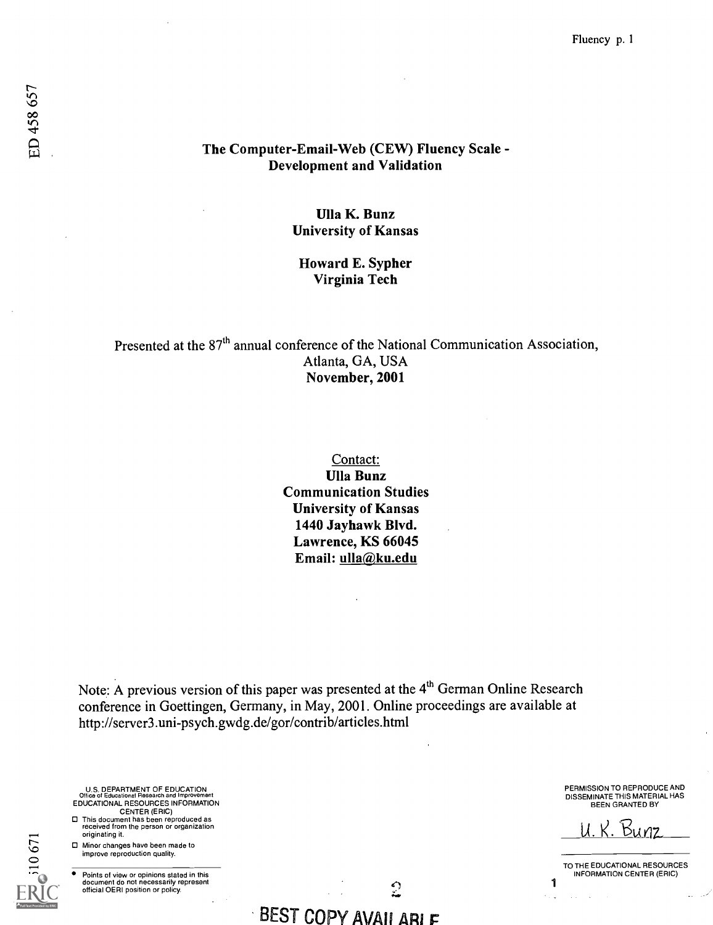# The Computer-Email-Web (CEW) Fluency Scale - Development and Validation

# Ulla K. Bunz University of Kansas

### Howard E. Sypher Virginia Tech

Presented at the 87<sup>th</sup> annual conference of the National Communication Association, Atlanta, GA, USA November, 2001

> Contact: Ulla Bunz Communication Studies University of Kansas 1440 Jayhawk Blvd. Lawrence, KS 66045 Email: ulla@ku.edu

Note: A previous version of this paper was presented at the 4<sup>th</sup> German Online Research conference in Goettingen, Germany, in May, 2001. Online proceedings are available at http ://server3 .uni-psych.gwdg.de/gor/contrib/articles.html

U.S. DEPARTMENT OF EDUCATION Office of Educational Research and Improvement EDUCATIONAL RESOURCES INFORMATION CENTER (ERIC)

- O This document has been reproduced as received from the person or organization originating it.
- El Minor changes have been made to improve reproduction quality.

0671

Points of view or opinions stated in this document do not necessarily represent official OERI position or policy.

PERMISSION TO REPRODUCE AND DISSEMINATE THIS MATERIAL HAS BEEN GRANTED BY

<u>U. K. 1</u>

TO THE EDUCATIONAL RESOURCES INFORMATION CENTER (ERIC)

1

BEST COPY AVAILARIF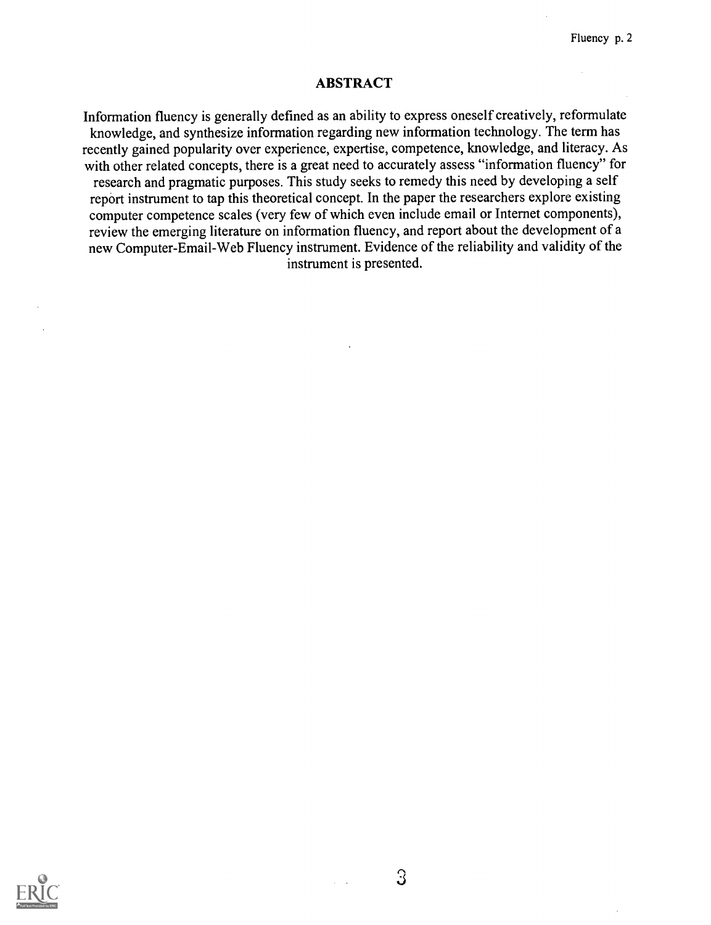# ABSTRACT

Information fluency is generally defined as an ability to express oneself creatively, reformulate knowledge, and synthesize information regarding new information technology. The term has recently gained popularity over experience, expertise, competence, knowledge, and literacy. As with other related concepts, there is a great need to accurately assess "information fluency" for research and pragmatic purposes. This study seeks to remedy this need by developing a self report instrument to tap this theoretical concept. In the paper the researchers explore existing computer competence scales (very few of which even include email or Internet components), review the emerging literature on information fluency, and report about the development of a new Computer-Email-Web Fluency instrument. Evidence of the reliability and validity of the instrument is presented.



 $\Im$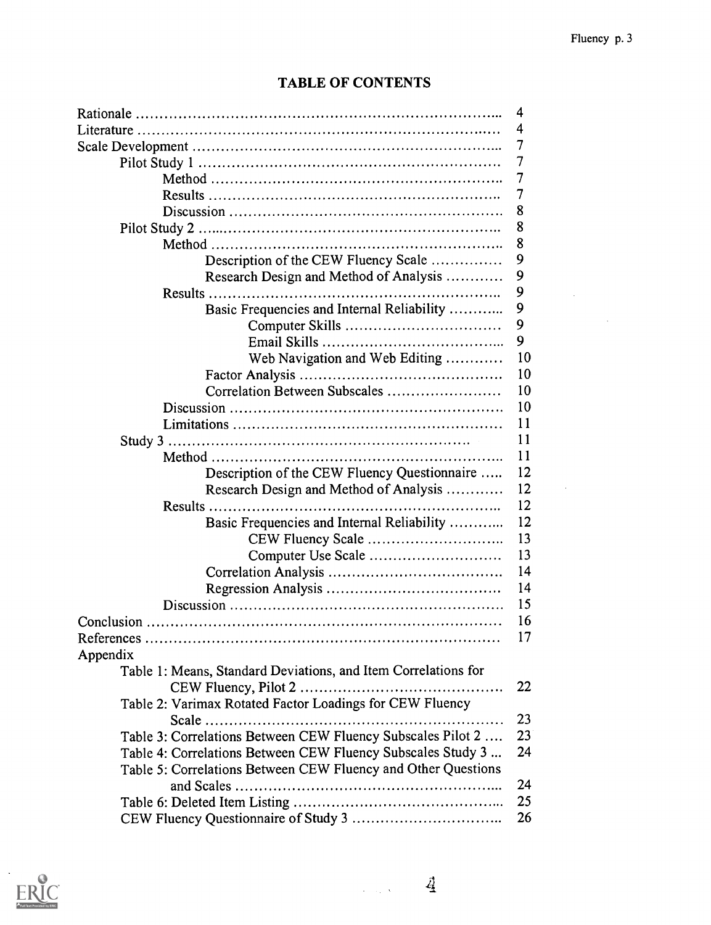$\sim$ 

| <b>TABLE OF CONTENTS</b> |  |
|--------------------------|--|
|--------------------------|--|

|                                                                | 4  |
|----------------------------------------------------------------|----|
|                                                                | 4  |
|                                                                | 7  |
|                                                                | 7  |
|                                                                | 7  |
|                                                                | 7  |
|                                                                | 8  |
|                                                                | 8  |
|                                                                | 8  |
| Description of the CEW Fluency Scale                           | 9  |
| Research Design and Method of Analysis                         | 9  |
|                                                                | 9  |
| Basic Frequencies and Internal Reliability                     | 9  |
|                                                                | 9  |
|                                                                | 9  |
| Web Navigation and Web Editing                                 | 10 |
|                                                                | 10 |
| Correlation Between Subscales                                  | 10 |
|                                                                | 10 |
|                                                                | 11 |
|                                                                |    |
|                                                                | 11 |
|                                                                | 11 |
| Description of the CEW Fluency Questionnaire                   | 12 |
| Research Design and Method of Analysis                         | 12 |
|                                                                | 12 |
| Basic Frequencies and Internal Reliability                     | 12 |
|                                                                | 13 |
|                                                                | 13 |
|                                                                | 14 |
|                                                                | 14 |
|                                                                | 15 |
|                                                                | 16 |
| References.                                                    | 17 |
| Appendix                                                       |    |
| Table 1: Means, Standard Deviations, and Item Correlations for |    |
|                                                                | 22 |
| Table 2: Varimax Rotated Factor Loadings for CEW Fluency       |    |
|                                                                | 23 |
| Table 3: Correlations Between CEW Fluency Subscales Pilot 2    | 23 |
| Table 4: Correlations Between CEW Fluency Subscales Study 3    | 24 |
| Table 5: Correlations Between CEW Fluency and Other Questions  |    |
|                                                                | 24 |
|                                                                | 25 |
|                                                                | 26 |
|                                                                |    |

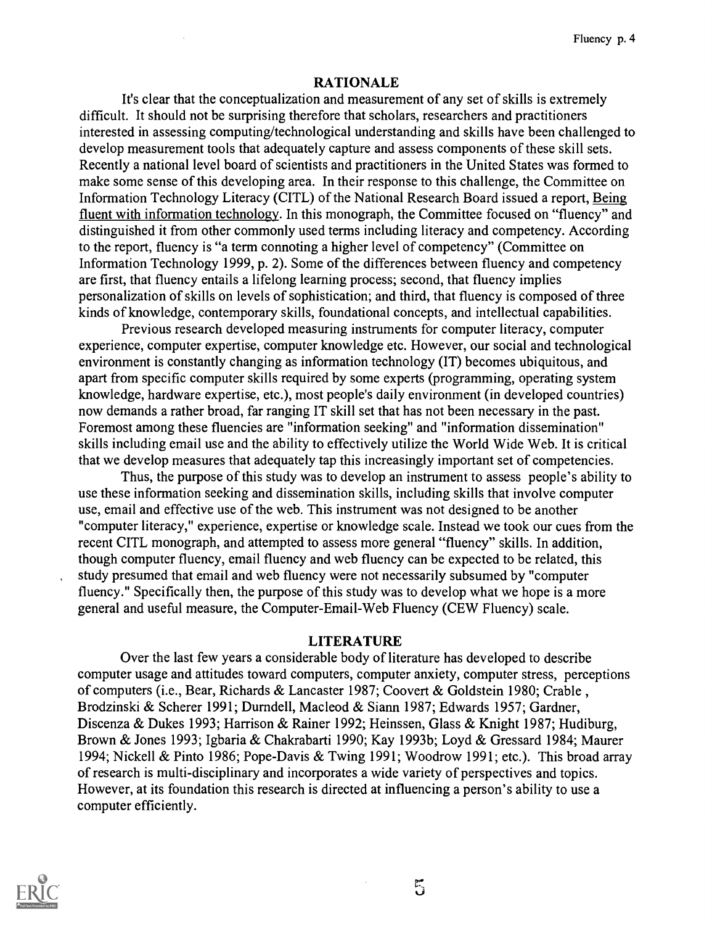# RATIONALE

It's clear that the conceptualization and measurement of any set of skills is extremely difficult. It should not be surprising therefore that scholars, researchers and practitioners interested in assessing computing/technological understanding and skills have been challenged to develop measurement tools that adequately capture and assess components of these skill sets. Recently a national level board of scientists and practitioners in the United States was formed to make some sense of this developing area. In their response to this challenge, the Committee on Information Technology Literacy (CITL) of the National Research Board issued a report, Being fluent with information technology. In this monograph, the Committee focused on "fluency" and distinguished it from other commonly used terms including literacy and competency. According to the report, fluency is "a term connoting a higher level of competency" (Committee on Information Technology 1999, p. 2). Some of the differences between fluency and competency are first, that fluency entails a lifelong learning process; second, that fluency implies personalization of skills on levels of sophistication; and third, that fluency is composed of three kinds of knowledge, contemporary skills, foundational concepts, and intellectual capabilities.

Previous research developed measuring instruments for computer literacy, computer experience, computer expertise, computer knowledge etc. However, our social and technological environment is constantly changing as information technology (IT) becomes ubiquitous, and apart from specific computer skills required by some experts (programming, operating system knowledge, hardware expertise, etc.), most people's daily environment (in developed countries) now demands a rather broad, far ranging IT skill set that has not been necessary in the past. Foremost among these fluencies are "information seeking" and "information dissemination" skills including email use and the ability to effectively utilize the World Wide Web. It is critical that we develop measures that adequately tap this increasingly important set of competencies.

Thus, the purpose of this study was to develop an instrument to assess people's ability to use these information seeking and dissemination skills, including skills that involve computer use, email and effective use of the web. This instrument was not designed to be another "computer literacy," experience, expertise or knowledge scale. Instead we took our cues from the recent CITL monograph, and attempted to assess more general "fluency" skills. In addition, though computer fluency, email fluency and web fluency can be expected to be related, this study presumed that email and web fluency were not necessarily subsumed by "computer fluency." Specifically then, the purpose of this study was to develop what we hope is a more general and useful measure, the Computer-Email-Web Fluency (CEW Fluency) scale.

### LITERATURE

Over the last few years a considerable body of literature has developed to describe computer usage and attitudes toward computers, computer anxiety, computer stress, perceptions of computers (i.e., Bear, Richards & Lancaster 1987; Coovert & Goldstein 1980; Crable , Brodzinski & Scherer 1991; Durndell, Macleod & Siann 1987; Edwards 1957; Gardner, Discenza & Dukes 1993; Harrison & Rainer 1992; Heinssen, Glass & Knight 1987; Hudiburg, Brown & Jones 1993; Igbaria & Chakrabarti 1990; Kay 1993b; Loyd & Gressard 1984; Maurer 1994; Nickell & Pinto 1986; Pope-Davis & Twing 1991; Woodrow 1991; etc.). This broad array of research is multi-disciplinary and incorporates a wide variety of perspectives and topics. However, at its foundation this research is directed at influencing a person's ability to use a computer efficiently.



 $5\overline{)}$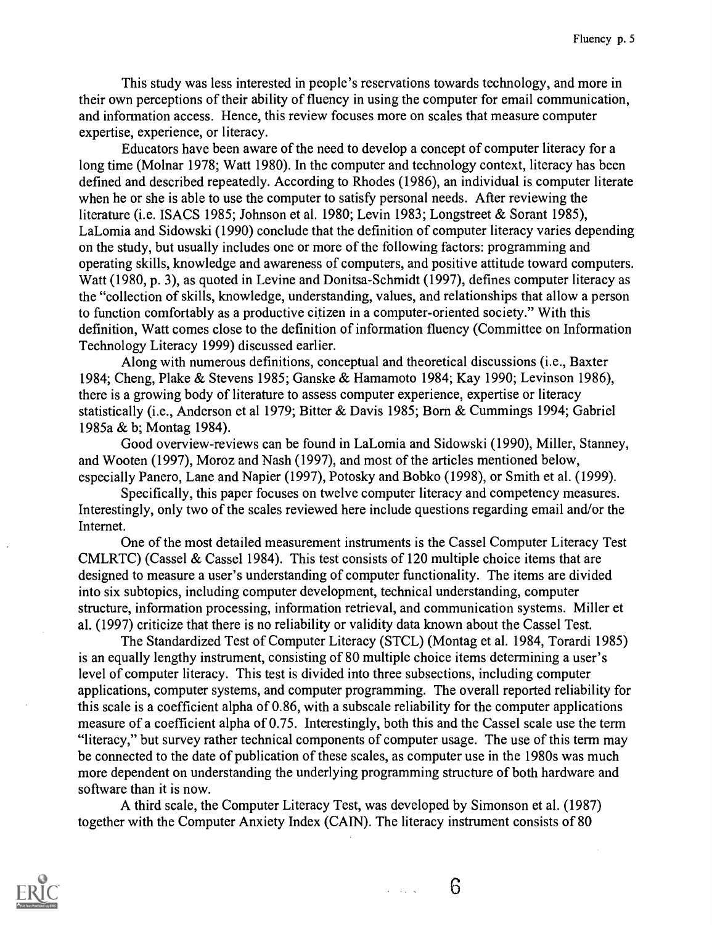This study was less interested in people's reservations towards technology, and more in their own perceptions of their ability of fluency in using the computer for email communication, and information access. Hence, this review focuses more on scales that measure computer expertise, experience, or literacy.

Educators have been aware of the need to develop a concept of computer literacy for a long time (Molnar 1978; Watt 1980). In the computer and technology context, literacy has been defined and described repeatedly. According to Rhodes (1986), an individual is computer literate when he or she is able to use the computer to satisfy personal needs. After reviewing the literature (i.e. ISACS 1985; Johnson et al. 1980; Levin 1983; Longstreet & Sorant 1985), LaLomia and Sidowski (1990) conclude that the definition of computer literacy varies depending on the study, but usually includes one or more of the following factors: programming and operating skills, knowledge and awareness of computers, and positive attitude toward computers. Watt (1980, p. 3), as quoted in Levine and Donitsa-Schmidt (1997), defines computer literacy as the "collection of skills, knowledge, understanding, values, and relationships that allow a person to function comfortably as a productive citizen in a computer-oriented society." With this definition, Watt comes close to the definition of information fluency (Committee on Information Technology Literacy 1999) discussed earlier.

Along with numerous definitions, conceptual and theoretical discussions (i.e., Baxter 1984; Cheng, Plake & Stevens 1985; Ganske & Hamamoto 1984; Kay 1990; Levinson 1986), there is a growing body of literature to assess computer experience, expertise or literacy statistically (i.e., Anderson et al 1979; Bitter & Davis 1985; Born & Cummings 1994; Gabriel 1985a & b; Montag 1984).

Good overview-reviews can be found in LaLomia and Sidowski (1990), Miller, Stanney, and Wooten (1997), Moroz and Nash (1997), and most of the articles mentioned below, especially Panero, Lane and Napier (1997), Potosky and Bobko (1998), or Smith et al. (1999).

Specifically, this paper focuses on twelve computer literacy and competency measures. Interestingly, only two of the scales reviewed here include questions regarding email and/or the Internet.

One of the most detailed measurement instruments is the Cassel Computer Literacy Test CMLRTC) (Cassel & Cassel 1984). This test consists of 120 multiple choice items that are designed to measure a user's understanding of computer functionality. The items are divided into six subtopics, including computer development, technical understanding, computer structure, information processing, information retrieval, and communication systems. Miller et al. (1997) criticize that there is no reliability or validity data known about the Cassel Test.

The Standardized Test of Computer Literacy (STCL) (Montag et al. 1984, Torardi 1985) is an equally lengthy instrument, consisting of 80 multiple choice items determining a user's level of computer literacy. This test is divided into three subsections, including computer applications, computer systems, and computer programming. The overall reported reliability for this scale is a coefficient alpha of 0.86, with a subscale reliability for the computer applications measure of a coefficient alpha of 0.75. Interestingly, both this and the Cassel scale use the term "literacy," but survey rather technical components of computer usage. The use of this term may be connected to the date of publication of these scales, as computer use in the 1980s was much more dependent on understanding the underlying programming structure of both hardware and software than it is now.

A third scale, the Computer Literacy Test, was developed by Simonson et al. (1987) together with the Computer Anxiety Index (CAIN). The literacy instrument consists of 80

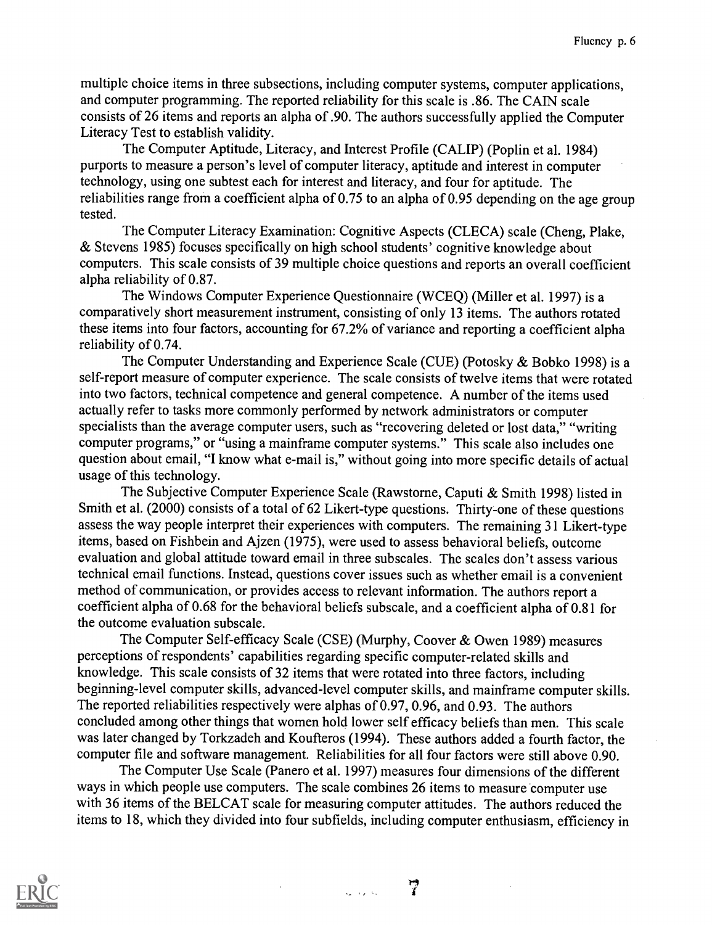multiple choice items in three subsections, including computer systems, computer applications, and computer programming. The reported reliability for this scale is .86. The CAIN scale consists of 26 items and reports an alpha of .90. The authors successfully applied the Computer Literacy Test to establish validity.

The Computer Aptitude, Literacy, and Interest Profile (CALIP) (Poplin et al. 1984) purports to measure a person's level of computer literacy, aptitude and interest in computer technology, using one subtest each for interest and literacy, and four for aptitude. The reliabilities range from a coefficient alpha of 0.75 to an alpha of 0.95 depending on the age group tested.

The Computer Literacy Examination: Cognitive Aspects (CLECA) scale (Cheng, Plake, & Stevens 1985) focuses specifically on high school students' cognitive knowledge about computers. This scale consists of 39 multiple choice questions and reports an overall coefficient alpha reliability of 0.87.

The Windows Computer Experience Questionnaire (WCEQ) (Miller et al. 1997) is a comparatively short measurement instrument, consisting of only 13 items. The authors rotated these items into four factors, accounting for 67.2% of variance and reporting a coefficient alpha reliability of 0.74.

The Computer Understanding and Experience Scale (CUE) (Potosky & Bobko 1998) is a self-report measure of computer experience. The scale consists of twelve items that were rotated into two factors, technical competence and general competence. A number of the items used actually refer to tasks more commonly performed by network administrators or computer specialists than the average computer users, such as "recovering deleted or lost data," "writing computer programs," or "using a mainframe computer systems." This scale also includes one question about email, "I know what e-mail is," without going into more specific details of actual usage of this technology.

The Subjective Computer Experience Scale (Rawstorne, Caputi & Smith 1998) listed in Smith et al. (2000) consists of a total of 62 Likert-type questions. Thirty-one of these questions assess the way people interpret their experiences with computers. The remaining 31 Likert-type items, based on Fishbein and Ajzen (1975), were used to assess behavioral beliefs, outcome evaluation and global attitude toward email in three subscales. The scales don't assess various technical email functions. Instead, questions cover issues such as whether email is a convenient method of communication, or provides access to relevant information. The authors report a coefficient alpha of 0.68 for the behavioral beliefs subscale, and a coefficient alpha of 0.81 for the outcome evaluation subscale.

The Computer Self-efficacy Scale (CSE) (Murphy, Coover & Owen 1989) measures perceptions of respondents' capabilities regarding specific computer-related skills and knowledge. This scale consists of 32 items that were rotated into three factors, including beginning-level computer skills, advanced-level computer skills, and mainframe computer skills. The reported reliabilities respectively were alphas of 0.97, 0.96, and 0.93. The authors concluded among other things that women hold lower self efficacy beliefs than men. This scale was later changed by Torkzadeh and Koufteros (1994). These authors added a fourth factor, the computer file and software management. Reliabilities for all four factors were still above 0.90.

The Computer Use Scale (Panero et al. 1997) measures four dimensions of the different ways in which people use computers. The scale combines 26 items to measure computer use with 36 items of the BELCAT scale for measuring computer attitudes. The authors reduced the items to 18, which they divided into four subfields, including computer enthusiasm, efficiency in



أنكاري أأنيد

 $\overline{7}$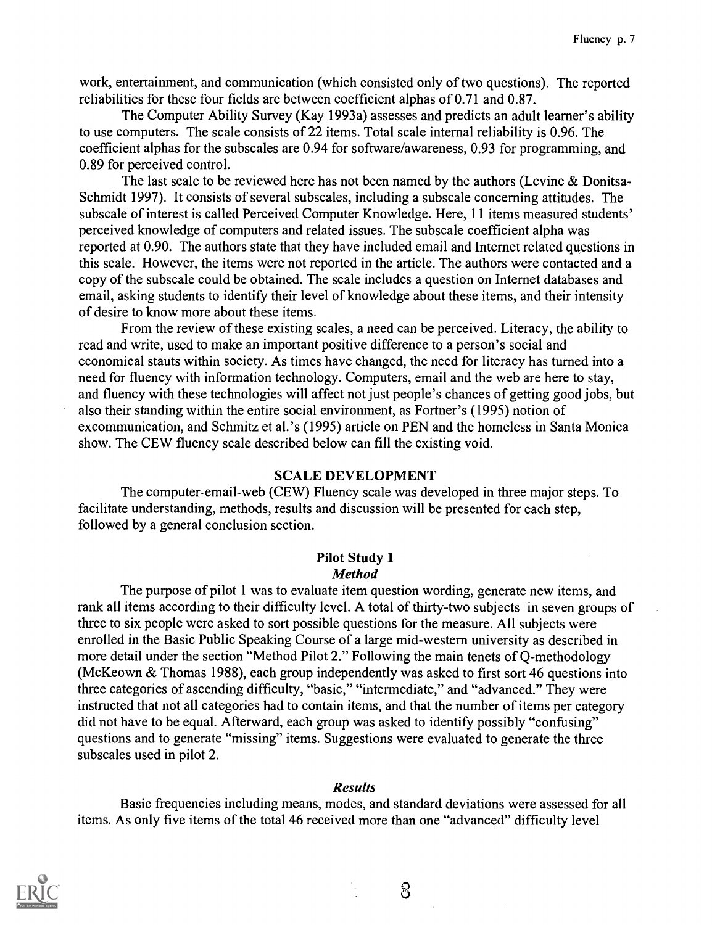work, entertainment, and communication (which consisted only of two questions). The reported reliabilities for these four fields are between coefficient alphas of 0.71 and 0.87.

The Computer Ability Survey (Kay 1993a) assesses and predicts an adult learner's ability to use computers. The scale consists of 22 items. Total scale internal reliability is 0.96. The coefficient alphas for the subscales are 0.94 for software/awareness, 0.93 for programming, and 0.89 for perceived control.

The last scale to be reviewed here has not been named by the authors (Levine & Donitsa-Schmidt 1997). It consists of several subscales, including a subscale concerning attitudes. The subscale of interest is called Perceived Computer Knowledge. Here, 11 items measured students' perceived knowledge of computers and related issues. The subscale coefficient alpha was reported at 0.90. The authors state that they have included email and Internet related questions in this scale. However, the items were not reported in the article. The authors were contacted and a copy of the subscale could be obtained. The scale includes a question on Internet databases and email, asking students to identify their level of knowledge about these items, and their intensity of desire to know more about these items.

From the review of these existing scales, a need can be perceived. Literacy, the ability to read and write, used to make an important positive difference to a person's social and economical stauts within society. As times have changed, the need for literacy has turned into a need for fluency with information technology. Computers, email and the web are here to stay, and fluency with these technologies will affect not just people's chances of getting good jobs, but also their standing within the entire social environment, as Fortner's (1995) notion of excommunication, and Schmitz et al.'s (1995) article on PEN and the homeless in Santa Monica show. The CEW fluency scale described below can fill the existing void.

### SCALE DEVELOPMENT

The computer-email-web (CEW) Fluency scale was developed in three major steps. To facilitate understanding, methods, results and discussion will be presented for each step, followed by a general conclusion section.

#### Pilot Study 1 Method

The purpose of pilot 1 was to evaluate item question wording, generate new items, and rank all items according to their difficulty level. A total of thirty-two subjects in seven groups of three to six people were asked to sort possible questions for the measure. All subjects were enrolled in the Basic Public Speaking Course of a large mid-western university as described in more detail under the section "Method Pilot 2." Following the main tenets of Q-methodology (McKeown & Thomas 1988), each group independently was asked to first sort 46 questions into three categories of ascending difficulty, "basic," "intermediate," and "advanced." They were instructed that not all categories had to contain items, and that the number of items per category did not have to be equal. Afterward, each group was asked to identify possibly "confusing" questions and to generate "missing" items. Suggestions were evaluated to generate the three subscales used in pilot 2.

### Results

Basic frequencies including means, modes, and standard deviations were assessed for all items. As only five items of the total 46 received more than one "advanced" difficulty level



සි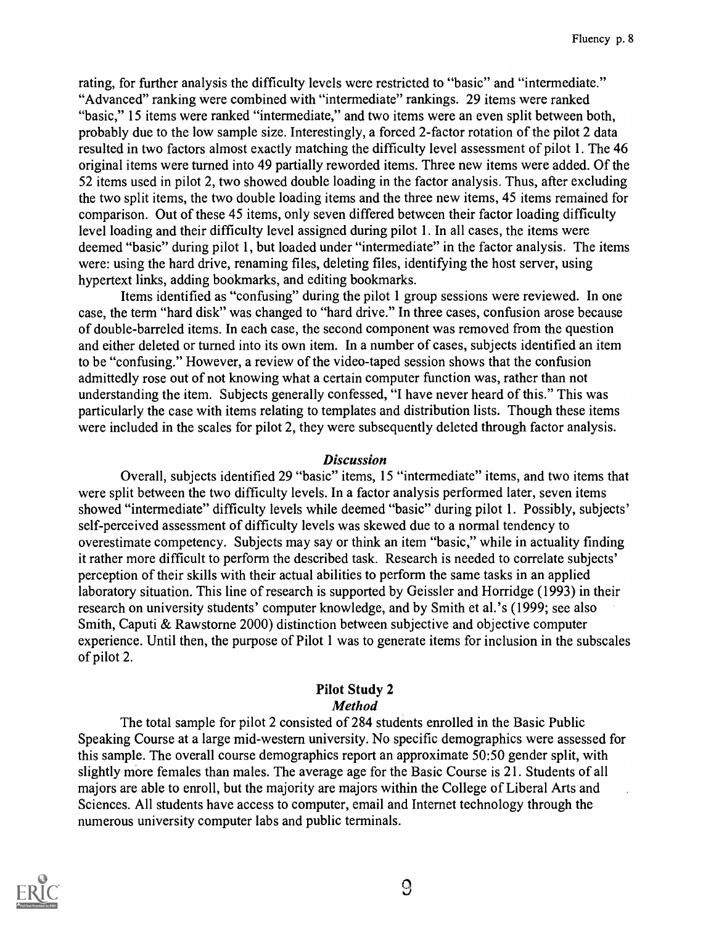rating, for further analysis the difficulty levels were restricted to "basic" and "intermediate." "Advanced" ranking were combined with "intermediate" rankings. 29 items were ranked "basic," 15 items were ranked "intermediate," and two items were an even split between both, probably due to the low sample size. Interestingly, a forced 2-factor rotation of the pilot 2 data resulted in two factors almost exactly matching the difficulty level assessment of pilot 1. The 46 original items were turned into 49 partially reworded items. Three new items were added. Of the 52 items used in pilot 2, two showed double loading in the factor analysis. Thus, after excluding the two split items, the two double loading items and the three new items, 45 items remained for comparison. Out of these 45 items, only seven differed between their factor loading difficulty level loading and their difficulty level assigned during pilot 1. In all cases, the items were deemed "basic" during pilot 1, but loaded under "intermediate" in the factor analysis. The items were: using the hard drive, renaming files, deleting files, identifying the host server, using hypertext links, adding bookmarks, and editing bookmarks.

Items identified as "confusing" during the pilot 1 group sessions were reviewed. In one case, the term "hard disk" was changed to "hard drive." In three cases, confusion arose because of double-barreled items. In each case, the second component was removed from the question and either deleted or turned into its own item. In a number of cases, subjects identified an item to be "confusing." However, a review of the video-taped session shows that the confusion admittedly rose out of not knowing what a certain computer function was, rather than not understanding the item. Subjects generally confessed, "I have never heard of this." This was particularly the case with items relating to templates and distribution lists. Though these items were included in the scales for pilot 2, they were subsequently deleted through factor analysis.

### Discussion

Overall, subjects identified 29 "basic" items, 15 "intermediate" items, and two items that were split between the two difficulty levels. In a factor analysis performed later, seven items showed "intermediate" difficulty levels while deemed "basic" during pilot 1. Possibly, subjects' self-perceived assessment of difficulty levels was skewed due to a normal tendency to overestimate competency. Subjects may say or think an item "basic," while in actuality finding it rather more difficult to perform the described task. Research is needed to correlate subjects' perception of their skills with their actual abilities to perform the same tasks in an applied laboratory situation. This line of research is supported by Geissler and Horridge (1993) in their research on university students' computer knowledge, and by Smith et al.'s (1999; see also Smith, Caputi & Rawstorne 2000) distinction between subjective and objective computer experience. Until then, the purpose of Pilot 1 was to generate items for inclusion in the subscales of pilot 2.

# Pilot Study 2 Method

The total sample for pilot 2 consisted of 284 students enrolled in the Basic Public Speaking Course at a large mid-western university. No specific demographics were assessed for this sample. The overall course demographics report an approximate 50:50 gender split, with slightly more females than males. The average age for the Basic Course is 21. Students of all majors are able to enroll, but the majority are majors within the College of Liberal Arts and Sciences. All students have access to computer, email and Internet technology through the numerous university computer labs and public terminals.

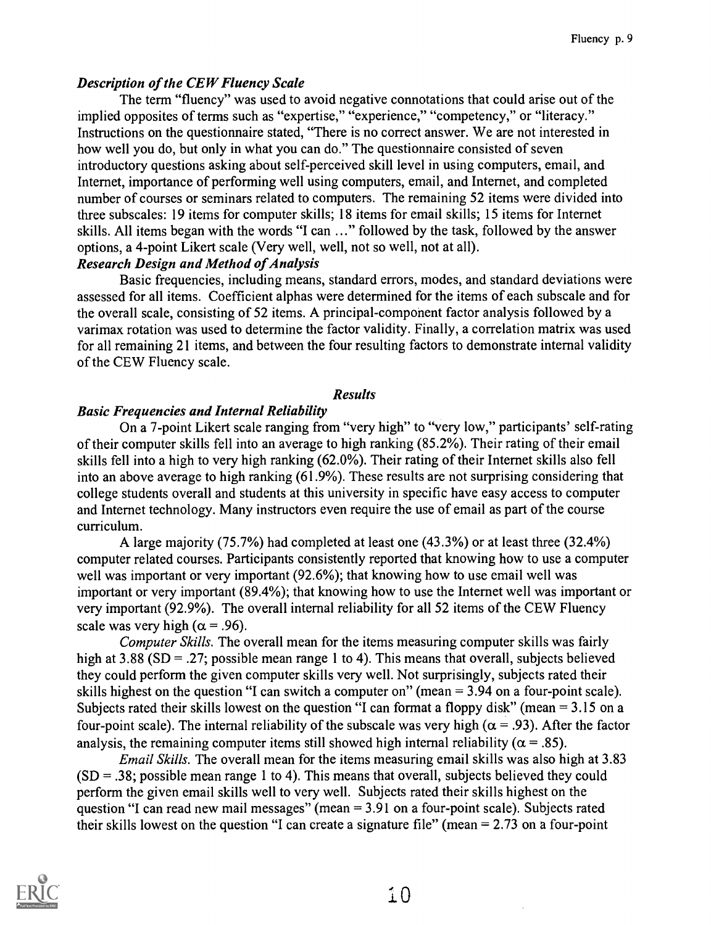# Description of the CEW Fluency Scale

The term "fluency" was used to avoid negative connotations that could arise out of the implied opposites of terms such as "expertise," "experience," "competency," or "literacy." Instructions on the questionnaire stated, "There is no correct answer. We are not interested in how well you do, but only in what you can do." The questionnaire consisted of seven introductory questions asking about self-perceived skill level in using computers, email, and Internet, importance of performing well using computers, email, and Internet, and completed number of courses or seminars related to computers. The remaining 52 items were divided into three subscales: 19 items for computer skills; 18 items for email skills; 15 items for Internet skills. All items began with the words "I can ..." followed by the task, followed by the answer options, a 4-point Likert scale (Very well, well, not so well, not at all).

# Research Design and Method of Analysis

Basic frequencies, including means, standard errors, modes, and standard deviations were assessed for all items. Coefficient alphas were determined for the items of each subscale and for the overall scale, consisting of 52 items. A principal-component factor analysis followed by a varimax rotation was used to determine the factor validity. Finally, a correlation matrix was used for all remaining 21 items, and between the four resulting factors to demonstrate internal validity of the CEW Fluency scale.

# Results

# Basic Frequencies and Internal Reliability

On a 7-point Likert scale ranging from "very high" to "very low," participants' self-rating of their computer skills fell into an average to high ranking (85.2%). Their rating of their email skills fell into a high to very high ranking (62.0%). Their rating of their Internet skills also fell into an above average to high ranking (61.9%). These results are not surprising considering that college students overall and students at this university in specific have easy access to computer and Internet technology. Many instructors even require the use of email as part of the course curriculum.

A large majority (75.7%) had completed at least one (43.3%) or at least three (32.4%) computer related courses. Participants consistently reported that knowing how to use a computer well was important or very important (92.6%); that knowing how to use email well was important or very important (89.4%); that knowing how to use the Internet well was important or very important (92.9%). The overall internal reliability for all 52 items of the CEW Fluency scale was very high ( $\alpha$  = .96).

Computer Skills. The overall mean for the items measuring computer skills was fairly high at 3.88 (SD = .27; possible mean range 1 to 4). This means that overall, subjects believed they could perform the given computer skills very well. Not surprisingly, subjects rated their skills highest on the question "I can switch a computer on" (mean = 3.94 on a four-point scale). Subjects rated their skills lowest on the question "I can format a floppy disk" (mean = 3.15 on a four-point scale). The internal reliability of the subscale was very high ( $\alpha$  = .93). After the factor analysis, the remaining computer items still showed high internal reliability ( $\alpha = .85$ ).

Email Skills. The overall mean for the items measuring email skills was also high at 3.83  $(SD = .38;$  possible mean range 1 to 4). This means that overall, subjects believed they could perform the given email skills well to very well. Subjects rated their skills highest on the question "I can read new mail messages" (mean  $= 3.91$  on a four-point scale). Subjects rated their skills lowest on the question "I can create a signature file" (mean = 2.73 on a four-point

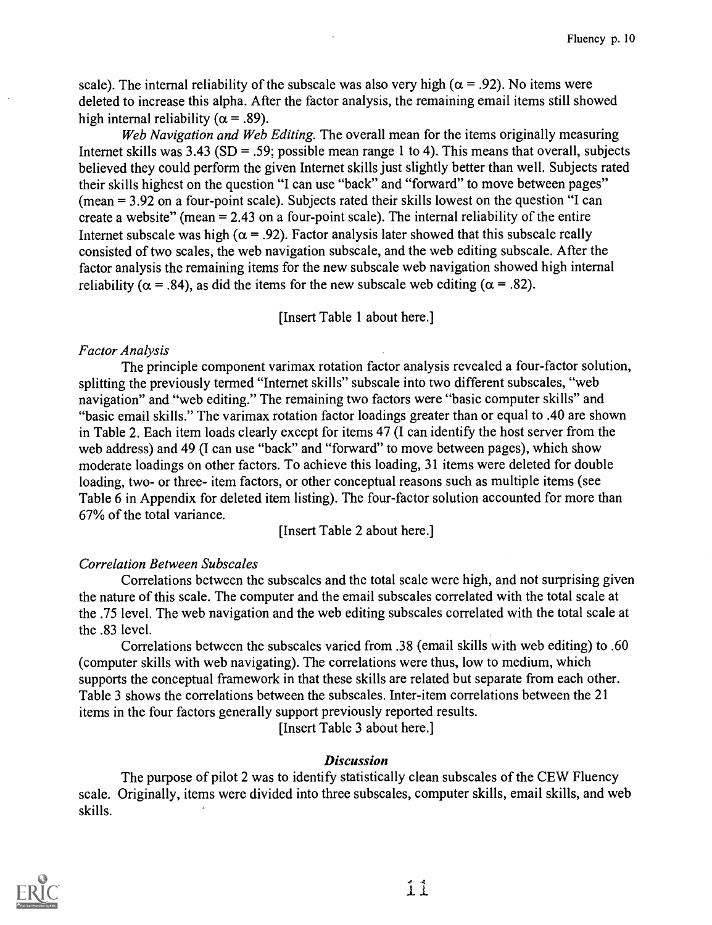scale). The internal reliability of the subscale was also very high ( $\alpha = .92$ ). No items were deleted to increase this alpha. After the factor analysis, the remaining email items still showed high internal reliability ( $\alpha$  = .89).

Web Navigation and Web Editing. The overall mean for the items originally measuring Internet skills was  $3.43$  (SD = .59; possible mean range 1 to 4). This means that overall, subjects believed they could perform the given Internet skills just slightly better than well. Subjects rated their skills highest on the question "I can use "back" and "forward" to move between pages" (mean = 3.92 on a four-point scale). Subjects rated their skills lowest on the question "I can create a website" (mean  $= 2.43$  on a four-point scale). The internal reliability of the entire Internet subscale was high ( $\alpha$  = .92). Factor analysis later showed that this subscale really consisted of two scales, the web navigation subscale, and the web editing subscale. After the factor analysis the remaining items for the new subscale web navigation showed high internal reliability ( $\alpha$  = .84), as did the items for the new subscale web editing ( $\alpha$  = .82).

[Insert Table 1 about here.]

# Factor Analysis

The principle component varimax rotation factor analysis revealed a four-factor solution, splitting the previously termed "Internet skills" subscale into two different subscales, "web navigation" and "web editing." The remaining two factors were "basic computer skills" and "basic email skills." The varimax rotation factor loadings greater than or equal to .40 are shown in Table 2. Each item loads clearly except for items 47 (I can identify the host server from the web address) and 49 (I can use "back" and "forward" to move between pages), which show moderate loadings on other factors. To achieve this loading, 31 items were deleted for double loading, two- or three- item factors, or other conceptual reasons such as multiple items (see Table 6 in Appendix for deleted item listing). The four-factor solution accounted for more than 67% of the total variance.

[Insert Table 2 about here.]

# Correlation Between Subscales

Correlations between the subscales and the total scale were high, and not surprising given the nature of this scale. The computer and the email subscales correlated with the total scale at the .75 level. The web navigation and the web editing subscales correlated with the total scale at the .83 level.

Correlations between the subscales varied from .38 (email skills with web editing) to .60 (computer skills with web navigating). The correlations were thus, low to medium, which supports the conceptual framework in that these skills are related but separate from each other. Table 3 shows the correlations between the subscales. Inter-item correlations between the 21 items in the four factors generally support previously reported results.

[Insert Table 3 about here.]

# Discussion

The purpose of pilot 2 was to identify statistically clean subscales of the CEW Fluency scale. Originally, items were divided into three subscales, computer skills, email skills, and web skills.

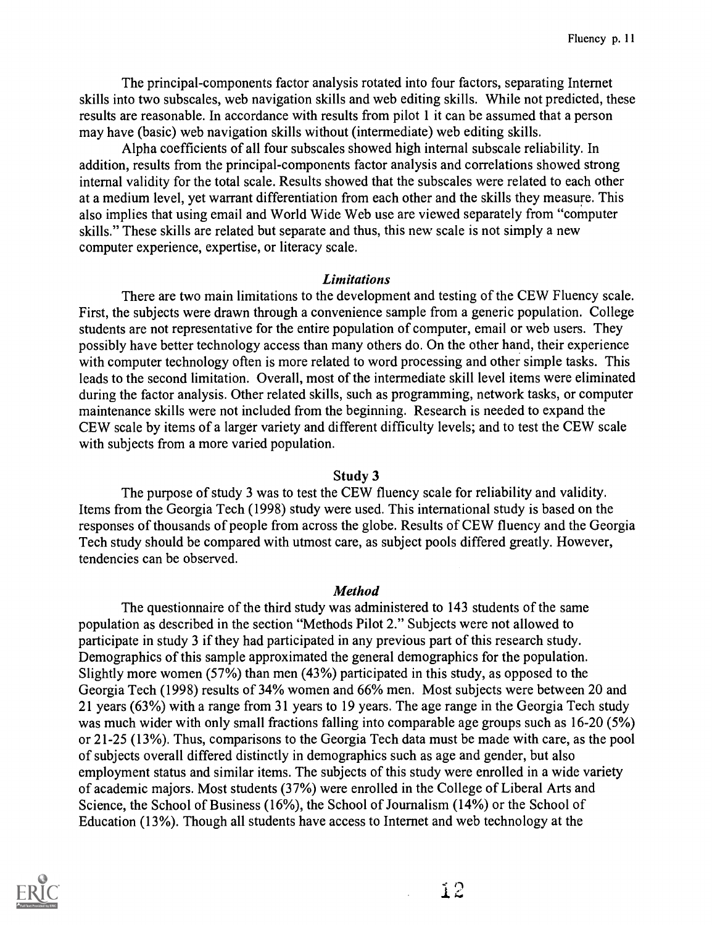The principal-components factor analysis rotated into four factors, separating Internet skills into two subscales, web navigation skills and web editing skills. While not predicted, these results are reasonable. In accordance with results from pilot 1 it can be assumed that a person may have (basic) web navigation skills without (intermediate) web editing skills.

Alpha coefficients of all four subscales showed high internal subscale reliability. In addition, results from the principal-components factor analysis and correlations showed strong internal validity for the total scale. Results showed that the subscales were related to each other at a medium level, yet warrant differentiation from each other and the skills they measure. This also implies that using email and World Wide Web use are viewed separately from "computer skills." These skills are related but separate and thus, this new scale is not simply a new computer experience, expertise, or literacy scale.

#### Limitations

There are two main limitations to the development and testing of the CEW Fluency scale. First, the subjects were drawn through a convenience sample from a generic population. College students are not representative for the entire population of computer, email or web users. They possibly have better technology access than many others do. On the other hand, their experience with computer technology often is more related to word processing and other simple tasks. This leads to the second limitation. Overall, most of the intermediate skill level items were eliminated during the factor analysis. Other related skills, such as programming, network tasks, or computer maintenance skills were not included from the beginning. Research is needed to expand the CEW scale by items of a larger variety and different difficulty levels; and to test the CEW scale with subjects from a more varied population.

### Study 3

The purpose of study 3 was to test the CEW fluency scale for reliability and validity. Items from the Georgia Tech (1998) study were used. This international study is based on the responses of thousands of people from across the globe. Results of CEW fluency and the Georgia Tech study should be compared with utmost care, as subject pools differed greatly. However, tendencies can be observed.

#### **Method**

The questionnaire of the third study was administered to 143 students of the same population as described in the section "Methods Pilot 2." Subjects were not allowed to participate in study 3 if they had participated in any previous part of this research study. Demographics of this sample approximated the general demographics for the population. Slightly more women (57%) than men (43%) participated in this study, as opposed to the Georgia Tech (1998) results of 34% women and 66% men. Most subjects were between 20 and 21 years (63%) with a range from 31 years to 19 years. The age range in the Georgia Tech study was much wider with only small fractions falling into comparable age groups such as 16-20 (5%) or 21-25 (13%). Thus, comparisons to the Georgia Tech data must be made with care, as the pool of subjects overall differed distinctly in demographics such as age and gender, but also employment status and similar items. The subjects of this study were enrolled in a wide variety of academic majors. Most students (37%) were enrolled in the College of Liberal Arts and Science, the School of Business (16%), the School of Journalism (14%) or the School of Education (13%). Though all students have access to Internet and web technology at the



12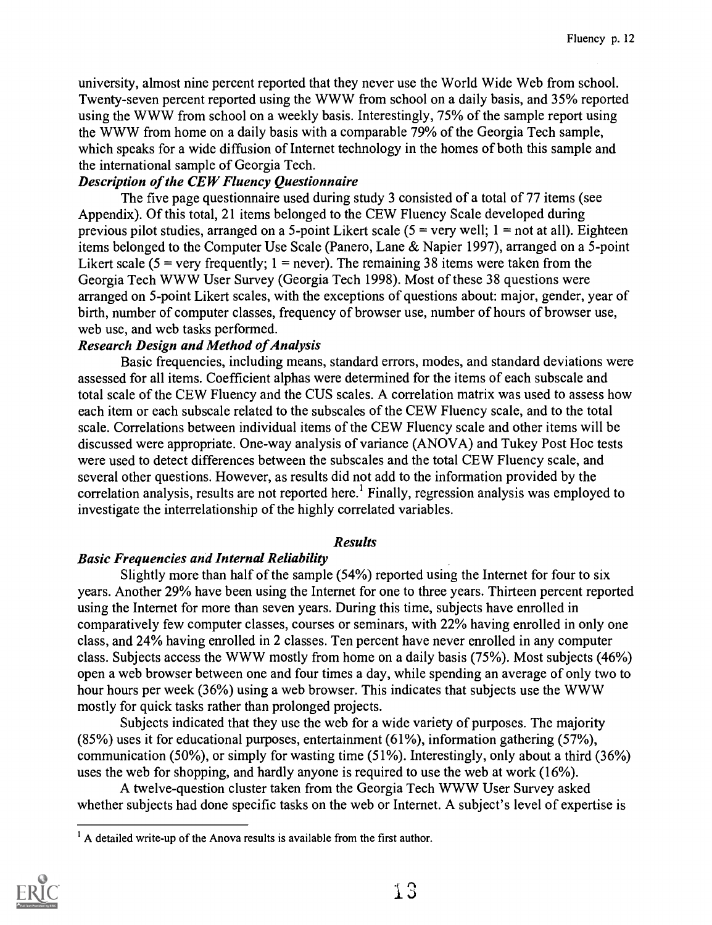university, almost nine percent reported that they never use the World Wide Web from school. Twenty-seven percent reported using the WWW from school on a daily basis, and 35% reported using the WWW from school on a weekly basis. Interestingly, 75% of the sample report using the WWW from home on a daily basis with a comparable 79% of the Georgia Tech sample, which speaks for a wide diffusion of Internet technology in the homes of both this sample and the international sample of Georgia Tech.

# Description of the CEW Fluency Questionnaire

The five page questionnaire used during study 3 consisted of a total of 77 items (see Appendix). Of this total, 21 items belonged to the CEW Fluency Scale developed during previous pilot studies, arranged on a 5-point Likert scale  $(5 = \text{very well}; 1 = \text{not at all}).$  Eighteen items belonged to the Computer Use Scale (Panero, Lane & Napier 1997), arranged on a 5-point Likert scale ( $5$  = very frequently; 1 = never). The remaining 38 items were taken from the Georgia Tech WWW User Survey (Georgia Tech 1998). Most of these 38 questions were arranged on 5-point Likert scales, with the exceptions of questions about: major, gender, year of birth, number of computer classes, frequency of browser use, number of hours of browser use, web use, and web tasks performed.

# Research Design and Method of Analysis

Basic frequencies, including means, standard errors, modes, and standard deviations were assessed for all items. Coefficient alphas were determined for the items of each subscale and total scale of the CEW Fluency and the CUS scales. A correlation matrix was used to assess how each item or each subscale related to the subscales of the CEW Fluency scale, and to the total scale. Correlations between individual items of the CEW Fluency scale and other items will be discussed were appropriate. One-way analysis of variance (ANOVA) and Tukey Post Hoc tests were used to detect differences between the subscales and the total CEW Fluency scale, and several other questions. However, as results did not add to the information provided by the correlation analysis, results are not reported here.' Finally, regression analysis was employed to investigate the interrelationship of the highly correlated variables.

# Results

# Basic Frequencies and Internal Reliability

Slightly more than half of the sample (54%) reported using the Internet for four to six years. Another 29% have been using the Internet for one to three years. Thirteen percent reported using the Internet for more than seven years. During this time, subjects have enrolled in comparatively few computer classes, courses or seminars, with 22% having enrolled in only one class, and 24% having enrolled in 2 classes. Ten percent have never enrolled in any computer class. Subjects access the WWW mostly from home on a daily basis (75%). Most subjects (46%) open a web browser between one and four times a day, while spending an average of only two to hour hours per week (36%) using a web browser. This indicates that subjects use the WWW mostly for quick tasks rather than prolonged projects.

Subjects indicated that they use the web for a wide variety of purposes. The majority (85%) uses it for educational purposes, entertainment (61%), information gathering (57%), communication (50%), or simply for wasting time (51%). Interestingly, only about a third (36%) uses the web for shopping, and hardly anyone is required to use the web at work (16%).

A twelve-question cluster taken from the Georgia Tech WWW User Survey asked whether subjects had done specific tasks on the web or Internet. A subject's level of expertise is

 $<sup>1</sup>$  A detailed write-up of the Anova results is available from the first author.</sup>

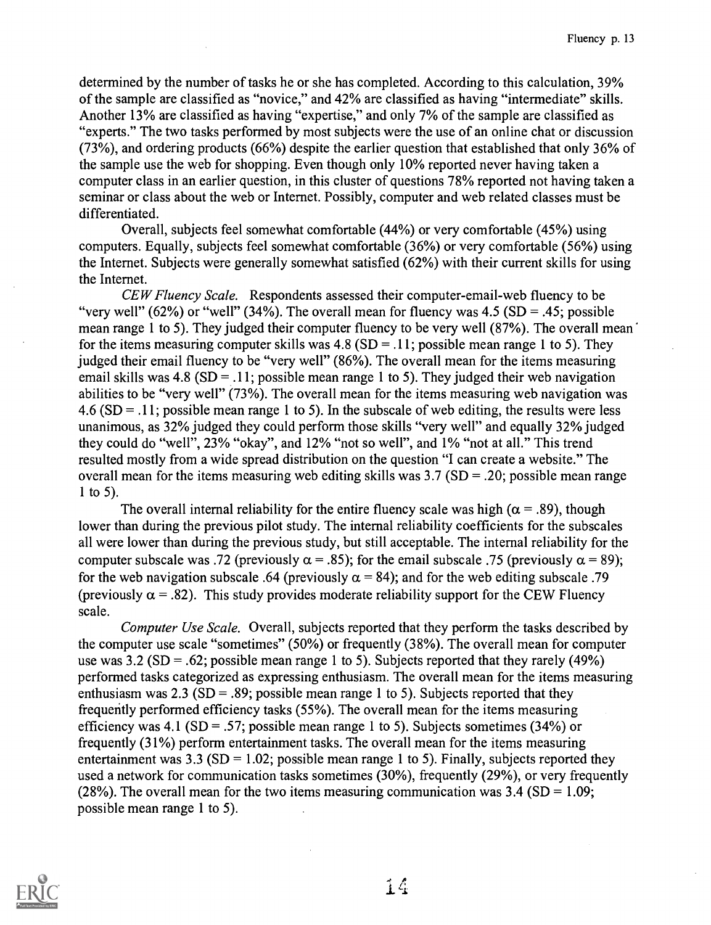determined by the number of tasks he or she has completed. According to this calculation, 39% of the sample are classified as "novice," and 42% are classified as having "intermediate" skills. Another 13% are classified as having "expertise," and only 7% of the sample are classified as "experts." The two tasks performed by most subjects were the use of an online chat or discussion (73%), and ordering products (66%) despite the earlier question that established that only 36% of the sample use the web for shopping. Even though only 10% reported never having taken a computer class in an earlier question, in this cluster of questions 78% reported not having taken a seminar or class about the web or Internet. Possibly, computer and web related classes must be differentiated.

Overall, subjects feel somewhat comfortable (44%) or very comfortable (45%) using computers. Equally, subjects feel somewhat comfortable (36%) or very comfortable (56%) using the Internet. Subjects were generally somewhat satisfied (62%) with their current skills for using the Internet.

CEW Fluency Scale. Respondents assessed their computer-email-web fluency to be "very well" (62%) or "well" (34%). The overall mean for fluency was  $4.5$  (SD = .45; possible mean range 1 to 5). They judged their computer fluency to be very well (87%). The overall mean for the items measuring computer skills was  $4.8$  (SD = .11; possible mean range 1 to 5). They judged their email fluency to be "very well" (86%). The overall mean for the items measuring email skills was 4.8 (SD = .11; possible mean range 1 to 5). They judged their web navigation abilities to be "very well" (73%). The overall mean for the items measuring web navigation was  $4.6$  (SD = .11; possible mean range 1 to 5). In the subscale of web editing, the results were less unanimous, as 32% judged they could perform those skills "very well" and equally 32% judged they could do "well", 23% "okay", and 12% "not so well", and 1% "not at all." This trend resulted mostly from a wide spread distribution on the question "I can create a website." The overall mean for the items measuring web editing skills was  $3.7$  (SD = .20; possible mean range 1 to 5).

The overall internal reliability for the entire fluency scale was high ( $\alpha$  = .89), though lower than during the previous pilot study. The internal reliability coefficients for the subscales all were lower than during the previous study, but still acceptable. The internal reliability for the computer subscale was .72 (previously  $\alpha$  = .85); for the email subscale .75 (previously  $\alpha$  = 89); for the web navigation subscale .64 (previously  $\alpha = 84$ ); and for the web editing subscale .79 (previously  $\alpha$  = .82). This study provides moderate reliability support for the CEW Fluency scale.

Computer Use Scale. Overall, subjects reported that they perform the tasks described by the computer use scale "sometimes" (50%) or frequently (38%). The overall mean for computer use was 3.2 (SD = .62; possible mean range 1 to 5). Subjects reported that they rarely (49%) performed tasks categorized as expressing enthusiasm. The overall mean for the items measuring enthusiasm was 2.3 (SD = .89; possible mean range 1 to 5). Subjects reported that they frequently performed efficiency tasks (55%). The overall mean for the items measuring efficiency was 4.1 (SD = .57; possible mean range 1 to 5). Subjects sometimes (34%) or frequently (31%) perform entertainment tasks. The overall mean for the items measuring entertainment was 3.3 (SD = 1.02; possible mean range 1 to 5). Finally, subjects reported they used a network for communication tasks sometimes (30%), frequently (29%), or very frequently (28%). The overall mean for the two items measuring communication was  $3.4$  (SD = 1.09; possible mean range 1 to 5).

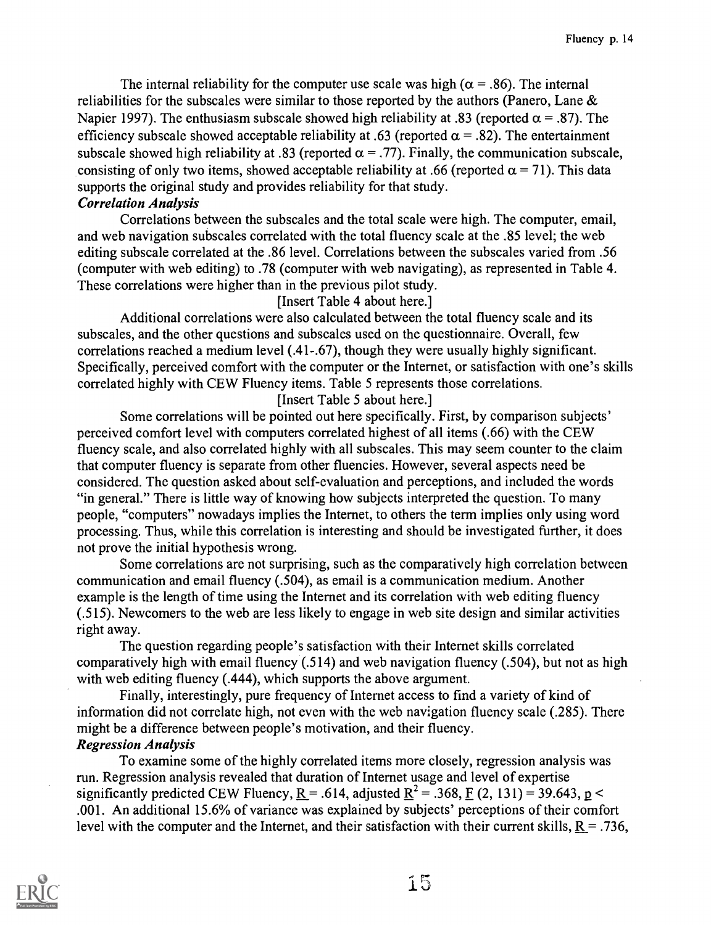The internal reliability for the computer use scale was high ( $\alpha$  = .86). The internal reliabilities for the subscales were similar to those reported by the authors (Panero, Lane  $\&$ Napier 1997). The enthusiasm subscale showed high reliability at .83 (reported  $\alpha = .87$ ). The efficiency subscale showed acceptable reliability at .63 (reported  $\alpha$  = .82). The entertainment subscale showed high reliability at .83 (reported  $\alpha$  = .77). Finally, the communication subscale, consisting of only two items, showed acceptable reliability at .66 (reported  $\alpha = 71$ ). This data supports the original study and provides reliability for that study.

# Correlation Analysis

Correlations between the subscales and the total scale were high. The computer, email, and web navigation subscales correlated with the total fluency scale at the .85 level; the web editing subscale correlated at the .86 level. Correlations between the subscales varied from .56 (computer with web editing) to .78 (computer with web navigating), as represented in Table 4. These correlations were higher than in the previous pilot study.

[Insert Table 4 about here.]

Additional correlations were also calculated between the total fluency scale and its subscales, and the other questions and subscales used on the questionnaire. Overall, few correlations reached a medium level (.41-.67), though they were usually highly significant. Specifically, perceived comfort with the computer or the Internet, or satisfaction with one's skills correlated highly with CEW Fluency items. Table 5 represents those correlations. [Insert Table 5 about here.]

Some correlations will be pointed out here specifically. First, by comparison subjects' perceived comfort level with computers correlated highest of all items (.66) with the CEW fluency scale, and also correlated highly with all subscales. This may seem counter to the claim that computer fluency is separate from other fluencies. However, several aspects need be considered. The question asked about self-evaluation and perceptions, and included the words "in general." There is little way of knowing how subjects interpreted the question. To many people, "computers" nowadays implies the Internet, to others the term implies only using word processing. Thus, while this correlation is interesting and should be investigated further, it does not prove the initial hypothesis wrong.

Some correlations are not surprising, such as the comparatively high correlation between communication and email fluency (.504), as email is a communication medium. Another example is the length of time using the Internet and its correlation with web editing fluency (.515). Newcomers to the web are less likely to engage in web site design and similar activities right away.

The question regarding people's satisfaction with their Internet skills correlated comparatively high with email fluency (.514) and web navigation fluency (.504), but not as high with web editing fluency (.444), which supports the above argument.

Finally, interestingly, pure frequency of Internet access to find a variety of kind of information did not correlate high, not even with the web navigation fluency scale (.285). There might be a difference between people's motivation, and their fluency. Regression Analysis

To examine some of the highly correlated items more closely, regression analysis was run. Regression analysis revealed that duration of Internet usage and level of expertise significantly predicted CEW Fluency, R = .614, adjusted  $R^2 = .368$ , F (2, 131) = 39.643, p < .001. An additional 15.6% of variance was explained by subjects' perceptions of their comfort level with the computer and the Internet, and their satisfaction with their current skills,  $R = .736$ ,

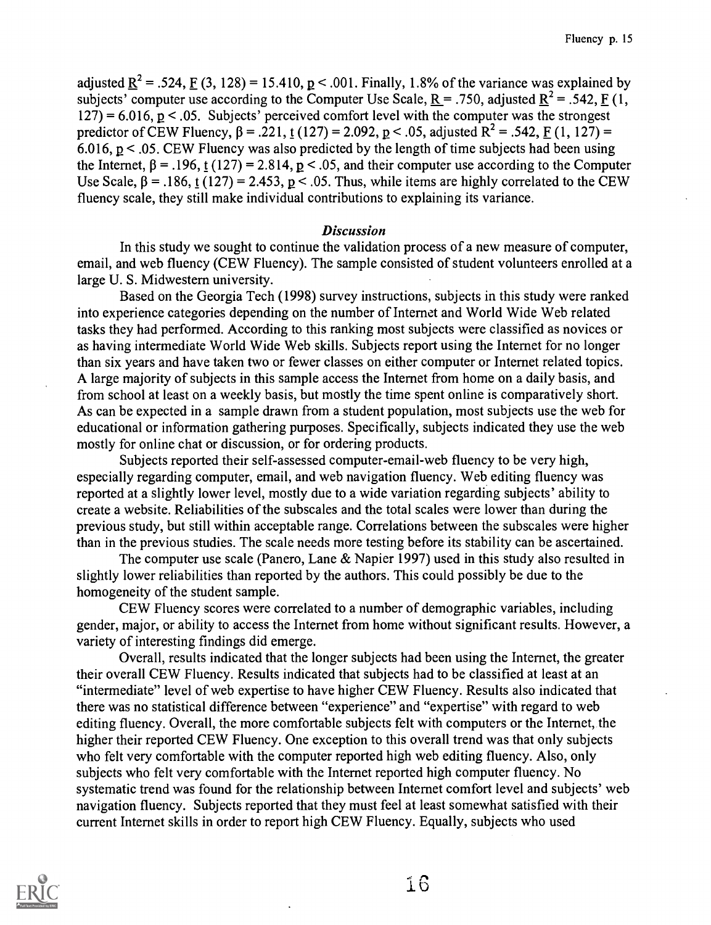adjusted  $R^2$  = .524, F (3, 128) = 15.410, p < .001. Finally, 1.8% of the variance was explained by subjects' computer use according to the Computer Use Scale,  $R = .750$ , adjusted  $R^2 = .542$ , F (1,  $127$ ) = 6.016, p < .05. Subjects' perceived comfort level with the computer was the strongest predictor of CEW Fluency,  $\beta = .221$ , t (127) = 2.092, p < .05, adjusted R<sup>2</sup> = .542, F (1, 127) = 6.016,  $p < 0.05$ . CEW Fluency was also predicted by the length of time subjects had been using the Internet,  $\beta = .196$ , t (127) = 2.814, p < .05, and their computer use according to the Computer Use Scale,  $\beta$  = .186, t (127) = 2.453, p < .05. Thus, while items are highly correlated to the CEW fluency scale, they still make individual contributions to explaining its variance.

### **Discussion**

In this study we sought to continue the validation process of a new measure of computer, email, and web fluency (CEW Fluency). The sample consisted of student volunteers enrolled at a large U. S. Midwestern university.

Based on the Georgia Tech (1998) survey instructions, subjects in this study were ranked into experience categories depending on the number of Internet and World Wide Web related tasks they had performed. According to this ranking most subjects were classified as novices or as having intermediate World Wide Web skills. Subjects report using the Internet for no longer than six years and have taken two or fewer classes on either computer or Internet related topics. A large majority of subjects in this sample access the Internet from home on a daily basis, and from school at least on a weekly basis, but mostly the time spent online is comparatively short. As can be expected in a sample drawn from a student population, most subjects use the web for educational or information gathering purposes. Specifically, subjects indicated they use the web mostly for online chat or discussion, or for ordering products.

Subjects reported their self-assessed computer-email-web fluency to be very high, especially regarding computer, email, and web navigation fluency. Web editing fluency was reported at a slightly lower level, mostly due to a wide variation regarding subjects' ability to create a website. Reliabilities of the subscales and the total scales were lower than during the previous study, but still within acceptable range. Correlations between the subscales were higher than in the previous studies. The scale needs more testing before its stability can be ascertained.

The computer use scale (Panero, Lane & Napier 1997) used in this study also resulted in slightly lower reliabilities than reported by the authors. This could possibly be due to the homogeneity of the student sample.

CEW Fluency scores were correlated to a number of demographic variables, including gender, major, or ability to access the Internet from home without significant results. However, a variety of interesting findings did emerge.

Overall, results indicated that the longer subjects had been using the Internet, the greater their overall CEW Fluency. Results indicated that subjects had to be classified at least at an "intermediate" level of web expertise to have higher CEW Fluency. Results also indicated that there was no statistical difference between "experience" and "expertise" with regard to web editing fluency. Overall, the more comfortable subjects felt with computers or the Internet, the higher their reported CEW Fluency. One exception to this overall trend was that only subjects who felt very comfortable with the computer reported high web editing fluency. Also, only subjects who felt very comfortable with the Internet reported high computer fluency. No systematic trend was found for the relationship between Internet comfort level and subjects' web navigation fluency. Subjects reported that they must feel at least somewhat satisfied with their current Internet skills in order to report high CEW Fluency. Equally, subjects who used



16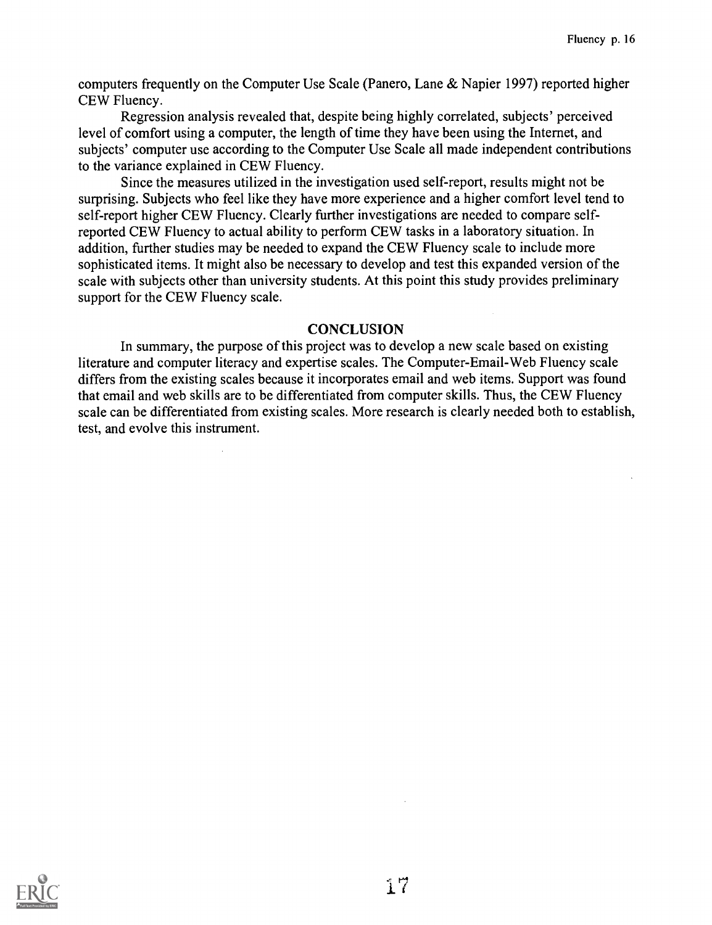computers frequently on the Computer Use Scale (Panero, Lane & Napier 1997) reported higher CEW Fluency.

Regression analysis revealed that, despite being highly correlated, subjects' perceived level of comfort using a computer, the length of time they have been using the Internet, and subjects' computer use according to the Computer Use Scale all made independent contributions to the variance explained in CEW Fluency.

Since the measures utilized in the investigation used self-report, results might not be surprising. Subjects who feel like they have more experience and a higher comfort level tend to self-report higher CEW Fluency. Clearly further investigations are needed to compare selfreported CEW Fluency to actual ability to perform CEW tasks in a laboratory situation. In addition, further studies may be needed to expand the CEW Fluency scale to include more sophisticated items. It might also be necessary to develop and test this expanded version of the scale with subjects other than university students. At this point this study provides preliminary support for the CEW Fluency scale.

# **CONCLUSION**

In summary, the purpose of this project was to develop a new scale based on existing literature and computer literacy and expertise scales. The Computer-Email-Web Fluency scale differs from the existing scales because it incorporates email and web items. Support was found that email and web skills are to be differentiated from computer skills. Thus, the CEW Fluency scale can be differentiated from existing scales. More research is clearly needed both to establish, test, and evolve this instrument.

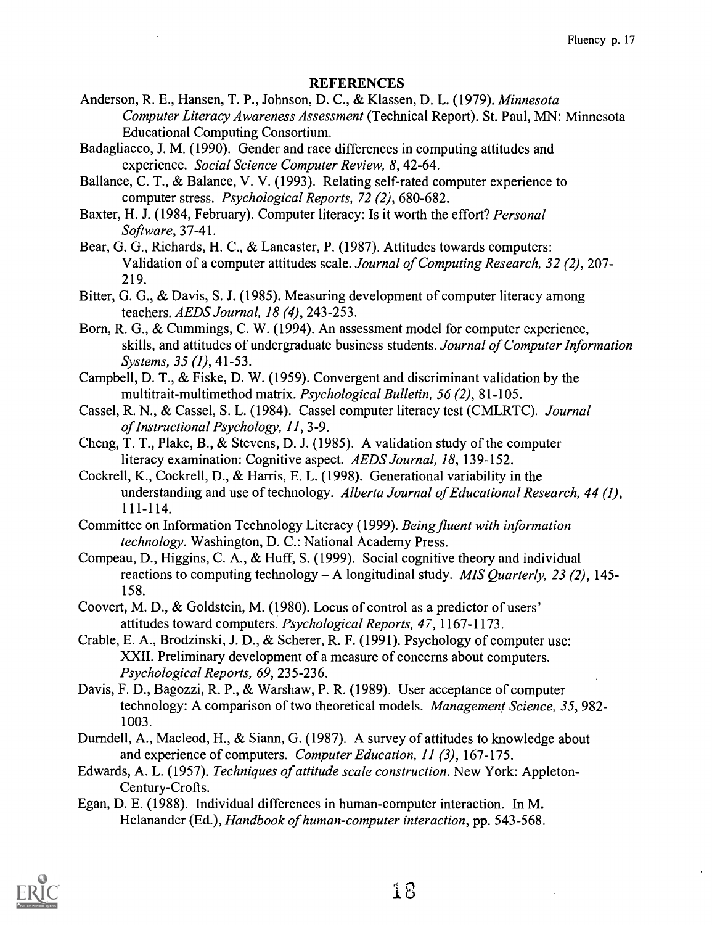### **REFERENCES**

- Anderson, R. E., Hansen, T. P., Johnson, D. C., & Klassen, D. L. (1979). Minnesota Computer Literacy Awareness Assessment (Technical Report). St. Paul, MN: Minnesota Educational Computing Consortium.
- Badagliacco, J. M. (1990). Gender and race differences in computing attitudes and experience. Social Science Computer Review, 8, 42-64.
- Ballance, C. T., & Balance, V. V. (1993). Relating self-rated computer experience to computer stress. Psychological Reports, 72 (2), 680-682.
- Baxter, H. J. (1984, February). Computer literacy: Is it worth the effort? Personal Software, 37-41.
- Bear, G. G., Richards, H. C., & Lancaster, P. (1987). Attitudes towards computers: Validation of a computer attitudes scale. Journal of Computing Research, 32 (2), 207- 219.
- Bitter, G. G., & Davis, S. J. (1985). Measuring development of computer literacy among teachers. AEDS Journal, 18 (4), 243-253.
- Born, R. G., & Cummings, C. W. (1994). An assessment model for computer experience, skills, and attitudes of undergraduate business students. Journal of Computer Information Systems, 35 (1), 41-53.
- Campbell, D. T., & Fiske, D. W. (1959). Convergent and discriminant validation by the multitrait-multimethod matrix. Psychological Bulletin, 56 (2), 81-105.
- Cassel, R. N., & Cassel, S. L. (1984). Cassel computer literacy test (CMLRTC). Journal of Instructional Psychology, 11, 3-9.
- Cheng, T. T., Plake, B., & Stevens, D. J. (1985). A validation study of the computer literacy examination: Cognitive aspect. AEDS Journal, 18, 139-152.
- Cockrell, K., Cockrell, D., & Harris, E. L. (1998). Generational variability in the understanding and use of technology. Alberta Journal of Educational Research, 44 (1), 111-114.
- Committee on Information Technology Literacy (1999). Being fluent with information technology. Washington, D. C.: National Academy Press.
- Compeau, D., Higgins, C. A., & Huff, S. (1999). Social cognitive theory and individual reactions to computing technology – A longitudinal study. MIS Quarterly, 23 (2), 145-158.
- Coovert, M. D., & Goldstein, M. (1980). Locus of control as a predictor of users' attitudes toward computers. Psychological Reports, 47, 1167-1173.
- Crable, E. A., Brodzinski, J. D., & Scherer, R. F. (1991). Psychology of computer use: XXII. Preliminary development of a measure of concerns about computers. Psychological Reports, 69, 235-236.
- Davis, F. D., Bagozzi, R. P., & Warshaw, P. R. (1989). User acceptance of computer technology: A comparison of two theoretical models. Management Science, 35, 982- 1003.
- Durndell, A., Macleod, H., & Siann, G. (1987). A survey of attitudes to knowledge about and experience of computers. Computer Education, 11 (3), 167-175.
- Edwards, A. L. (1957). Techniques of attitude scale construction. New York: Appleton-Century-Crofts.
- Egan, D. E. (1988). Individual differences in human-computer interaction. In M. Helanander (Ed.), Handbook of human-computer interaction, pp. 543-568.

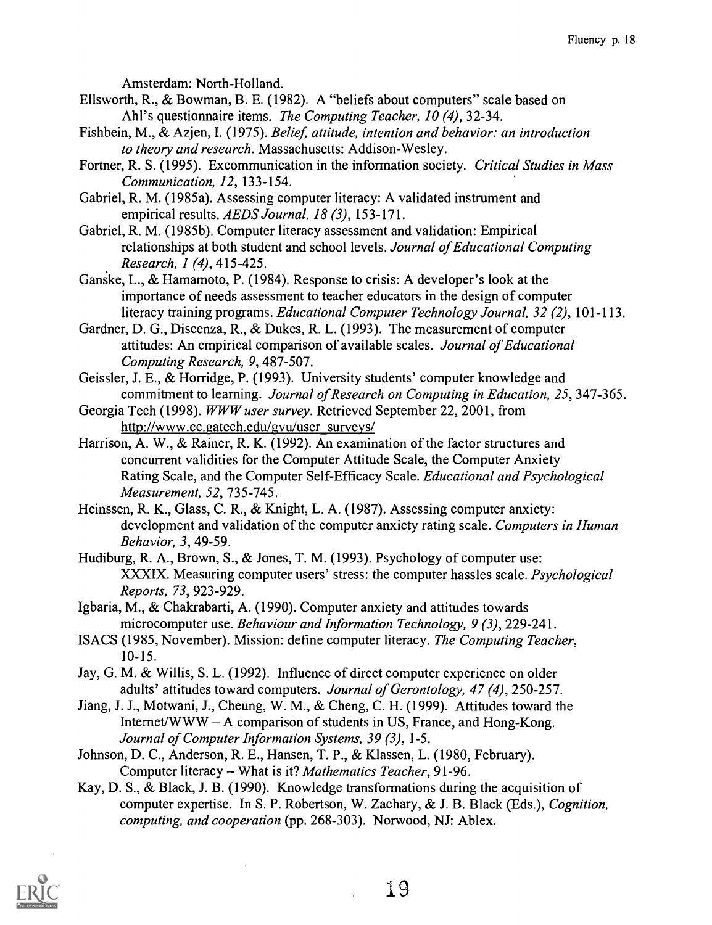Amsterdam: North-Holland.

- Ellsworth, R., & Bowman, B. E. (1982). A "beliefs about computers" scale based on Ahl's questionnaire items. *The Computing Teacher*, 10(4), 32-34.
- Fishbein, M., & Azjen, I. (1975). Belief, attitude, intention and behavior: an introduction to theory and research. Massachusetts: Addison-Wesley.
- Fortner, R. S. (1995). Excommunication in the information society. Critical Studies in Mass Communication, 12, 133-154.
- Gabriel, R. M. (1985a). Assessing computer literacy: A validated instrument and empirical results. AEDS Journal, 18 (3), 153-171.
- Gabriel, R. M. (1985b). Computer literacy assessment and validation: Empirical relationships at both student and school levels. Journal of Educational Computing Research, 1 (4), 415-425.
- Ganske, L., & Hamamoto, P. (1984). Response to crisis: A developer's look at the importance of needs assessment to teacher educators in the design of computer literacy training programs. Educational Computer Technology Journal, 32 (2), 101-113.
- Gardner, D. G., Discenza, R., & Dukes, R. L. (1993). The measurement of computer attitudes: An empirical comparison of available scales. Journal of Educational Computing Research, 9, 487-507.
- Geissler, J. E., & Horridge, P. (1993). University students' computer knowledge and commitment to learning. Journal of Research on Computing in Education, 25, 347-365.
- Georgia Tech (1998). WWW user survey. Retrieved September 22, 2001, from http://www.cc.gatech.edu/gvu/user\_surveys/
- Harrison, A. W., & Rainer, R. K. (1992). An examination of the factor structures and concurrent validities for the Computer Attitude Scale, the Computer Anxiety Rating Scale, and the Computer Self-Efficacy Scale. Educational and Psychological Measurement, 52, 735-745.
- Heinssen, R. K., Glass, C. R., & Knight, L. A. (1987). Assessing computer anxiety: development and validation of the computer anxiety rating scale. Computers in Human Behavior, 3, 49-59.
- Hudiburg, R. A., Brown, S., & Jones, T. M. (1993). Psychology of computer use: XXXIX. Measuring computer users' stress: the computer hassles scale. Psychological Reports, 73, 923-929.
- Igbaria, M., & Chakrabarti, A. (1990). Computer anxiety and attitudes towards microcomputer use. Behaviour and Information Technology, 9 (3), 229-241.
- ISACS (1985, November). Mission: define computer literacy. The Computing Teacher, 10-15.
- Jay, G. M. & Willis, S. L. (1992). Influence of direct computer experience on older adults' attitudes toward computers. Journal of Gerontology, 47 (4), 250-257.
- Jiang, J. J., Motwani, J., Cheung, W. M., & Cheng, C. H. (1999). Attitudes toward the Internet/WWW  $- A$  comparison of students in US, France, and Hong-Kong. Journal of Computer Information Systems, 39 (3), 1-5.
- Johnson, D. C., Anderson, R. E., Hansen, T. P., & Klassen, L. (1980, February). Computer literacy - What is it? Mathematics Teacher, 91-96.
- Kay, D. S., & Black, J. B. (1990). Knowledge transformations during the acquisition of computer expertise. In S. P. Robertson, W. Zachary, & J. B. Black (Eds.), Cognition, computing, and cooperation (pp. 268-303). Norwood, NJ: Ablex.

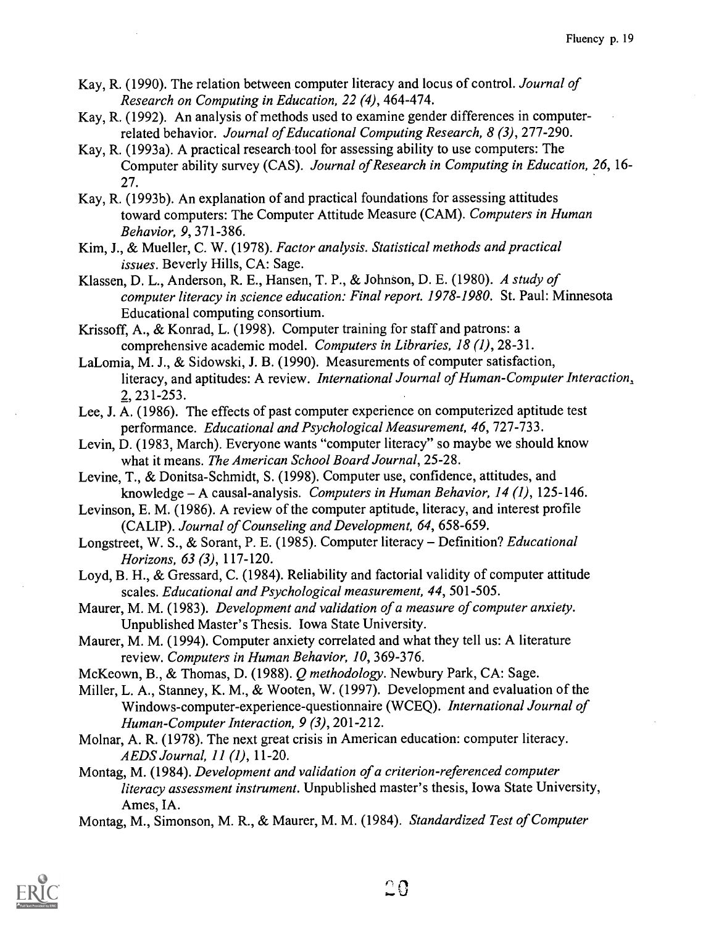- Kay, R. (1990). The relation between computer literacy and locus of control. Journal of Research on Computing in Education, 22 (4), 464-474.
- Kay, R. (1992). An analysis of methods used to examine gender differences in computerrelated behavior. Journal of Educational Computing Research, 8 (3), 277-290.
- Kay, R. (1993a). A practical research tool for assessing ability to use computers: The Computer ability survey (CAS). Journal of Research in Computing in Education, 26, 16- 27.
- Kay, R. (1993b). An explanation of and practical foundations for assessing attitudes toward computers: The Computer Attitude Measure (CAM). Computers in Human Behavior, 9, 371-386.
- Kim, J., & Mueller, C. W. (1978). Factor analysis. Statistical methods and practical issues. Beverly Hills, CA: Sage.
- Klassen, D. L., Anderson, R. E., Hansen, T. P., & Johnson, D. E. (1980). A study of computer literacy in science education: Final report. 1978-1980. St. Paul: Minnesota Educational computing consortium.
- Krissoff, A., & Konrad, L. (1998). Computer training for staff and patrons: a comprehensive academic model. Computers in Libraries, 18 (1), 28-31.
- LaLomia, M. J., & Sidowski, J. B. (1990). Measurements of computer satisfaction, literacy, and aptitudes: A review. International Journal of Human-Computer Interaction, 2, 231-253.
- Lee, J. A. (1986). The effects of past computer experience on computerized aptitude test performance. Educational and Psychological Measurement, 46, 727-733.
- Levin, D. (1983, March). Everyone wants "computer literacy" so maybe we should know what it means. The American School Board Journal, 25-28.
- Levine, T., & Donitsa-Schmidt, S. (1998). Computer use, confidence, attitudes, and knowledge – A causal-analysis. Computers in Human Behavior, 14 (1), 125-146.
- Levinson, E. M. (1986). A review of the computer aptitude, literacy, and interest profile (CALIP). Journal of Counseling and Development, 64, 658-659.
- Longstreet, W. S., & Sorant, P. E. (1985). Computer literacy Definition? Educational Horizons, 63 (3), 117-120.
- Loyd, B. H., & Gressard, C. (1984). Reliability and factorial validity of computer attitude scales. Educational and Psychological measurement, 44, 501-505.
- Maurer, M. M. (1983). Development and validation of a measure of computer anxiety. Unpublished Master's Thesis. Iowa State University.
- Maurer, M. M. (1994). Computer anxiety correlated and what they tell us: A literature review. Computers in Human Behavior, 10, 369-376.
- McKeown, B., & Thomas, D. (1988). Q methodology. Newbury Park, CA: Sage.
- Miller, L. A., Stanney, K. M., & Wooten, W. (1997). Development and evaluation of the Windows-computer-experience-questionnaire (WCEQ). International Journal of Human-Computer Interaction, 9 (3), 201-212.
- Molnar, A. R. (1978). The next great crisis in American education: computer literacy. AEDS Journal, 11 (I), 11-20.
- Montag, M. (1984). Development and validation of a criterion-referenced computer literacy assessment instrument. Unpublished master's thesis, Iowa State University, Ames, IA.
- Montag, M., Simonson, M. R., & Maurer, M. M. (1984). Standardized Test of Computer

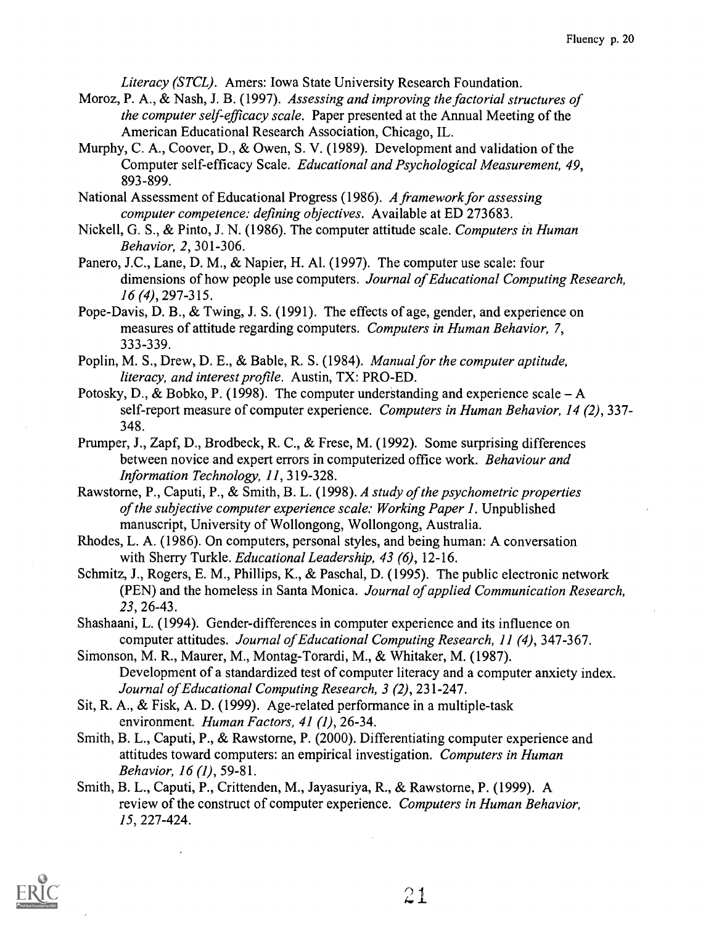Literacy (STCL). Amers: Iowa State University Research Foundation.

- Moroz, P. A., & Nash, J. B. (1997). Assessing and improving the factorial structures of the computer self-efficacy scale. Paper presented at the Annual Meeting of the American Educational Research Association, Chicago, IL.
- Murphy, C. A., Coover, D., & Owen, S. V. (1989). Development and validation of the Computer self-efficacy Scale. Educational and Psychological Measurement, 49, 893-899.
- National Assessment of Educational Progress (1986). A framework for assessing computer competence: defining objectives. Available at ED 273683.
- Nickell, G. S., & Pinto, J. N. (1986). The computer attitude scale. Computers in Human Behavior, 2, 301-306.
- Panero, J.C., Lane, D. M., & Napier, H. Al. (1997). The computer use scale: four dimensions of how people use computers. Journal of Educational Computing Research, 16 (4), 297-315.
- Pope-Davis, D. B., & Twing, J. S. (1991). The effects of age, gender, and experience on measures of attitude regarding computers. Computers in Human Behavior, 7, 333-339.
- Poplin, M. S., Drew, D. E., & Bable, R. S. (1984). Manual for the computer aptitude, literacy, and interest profile. Austin, TX: PRO-ED.
- Potosky, D., & Bobko, P. (1998). The computer understanding and experience scale  $-A$ self-report measure of computer experience. Computers in Human Behavior, 14 (2), 337- 348.
- Prumper, J., Zapf, D., Brodbeck, R. C., & Frese, M. (1992). Some surprising differences between novice and expert errors in computerized office work. Behaviour and Information Technology, 11, 319-328.
- Rawstorne, P., Caputi, P., & Smith, B. L. (1998). A study of the psychometric properties of the subjective computer experience scale: Working Paper 1. Unpublished manuscript, University of Wollongong, Wollongong, Australia.
- Rhodes, L. A. (1986). On computers, personal styles, and being human: A conversation with Sherry Turkle. *Educational Leadership*, 43 (6), 12-16.
- Schmitz, J., Rogers, E. M., Phillips, K., & Paschal, D. (1995). The public electronic network (PEN) and the homeless in Santa Monica. Journal of applied Communication Research, 23, 26-43.
- Shashaani, L. (1994). Gender-differences in computer experience and its influence on computer attitudes. Journal of Educational Computing Research, 11 (4), 347-367.
- Simonson, M. R., Maurer, M., Montag-Torardi, M., & Whitaker, M. (1987). Development of a standardized test of computer literacy and a computer anxiety index. Journal of Educational Computing Research, 3 (2), 231-247.
- Sit, R. A., & Fisk, A. D. (1999). Age-related performance in a multiple-task environment. Human Factors, 41 (1), 26-34.
- Smith, B. L., Caputi, P., & Rawstorne, P. (2000). Differentiating computer experience and attitudes toward computers: an empirical investigation. Computers in Human Behavior, 16 (I), 59-81.
- Smith, B. L., Caputi, P., Crittenden, M., Jayasuriya, R., & Rawstorne, P. (1999). A review of the construct of computer experience. Computers in Human Behavior, 15, 227-424.

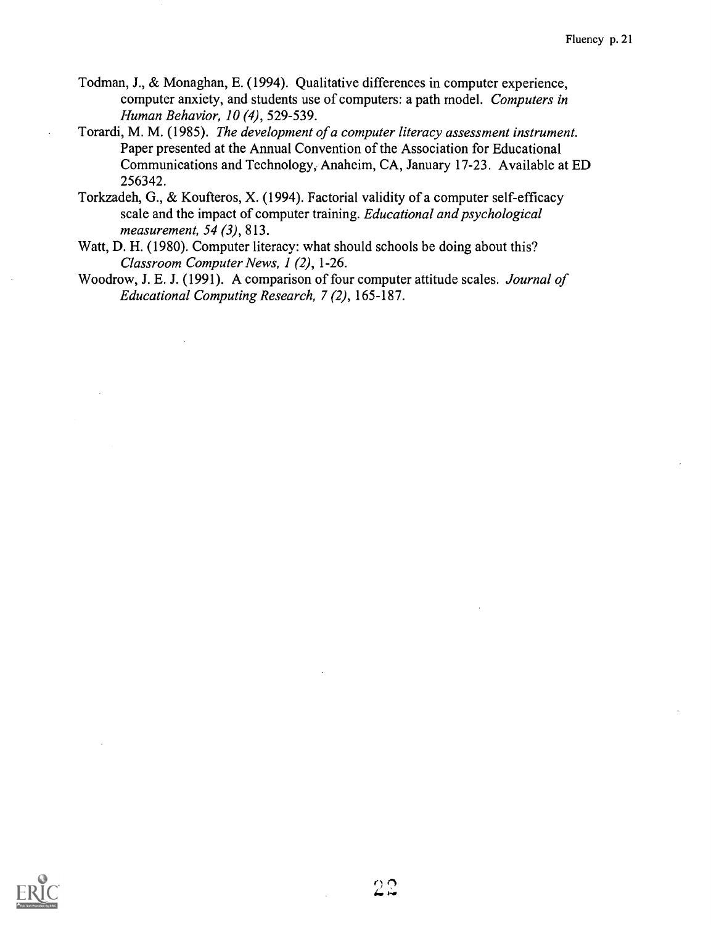- Todman, J., & Monaghan, E. (1994). Qualitative differences in computer experience, computer anxiety, and students use of computers: a path model. Computers in Human Behavior, 10 (4), 529-539.
- Torardi, M. M. (1985). The development of a computer literacy assessment instrument. Paper presented at the Annual Convention of the Association for Educational Communications and Technology, Anaheim, CA, January 17-23. Available at ED 256342.
- Torkzadeh, G., & Koufteros, X. (1994). Factorial validity of a computer self-efficacy scale and the impact of computer training. Educational and psychological measurement, 54 (3), 813.
- Watt, D. H. (1980). Computer literacy: what should schools be doing about this? Classroom Computer News, 1 (2), 1-26.
- Woodrow, J. E. J. (1991). A comparison of four computer attitude scales. Journal of Educational Computing Research, 7 (2), 165-187.

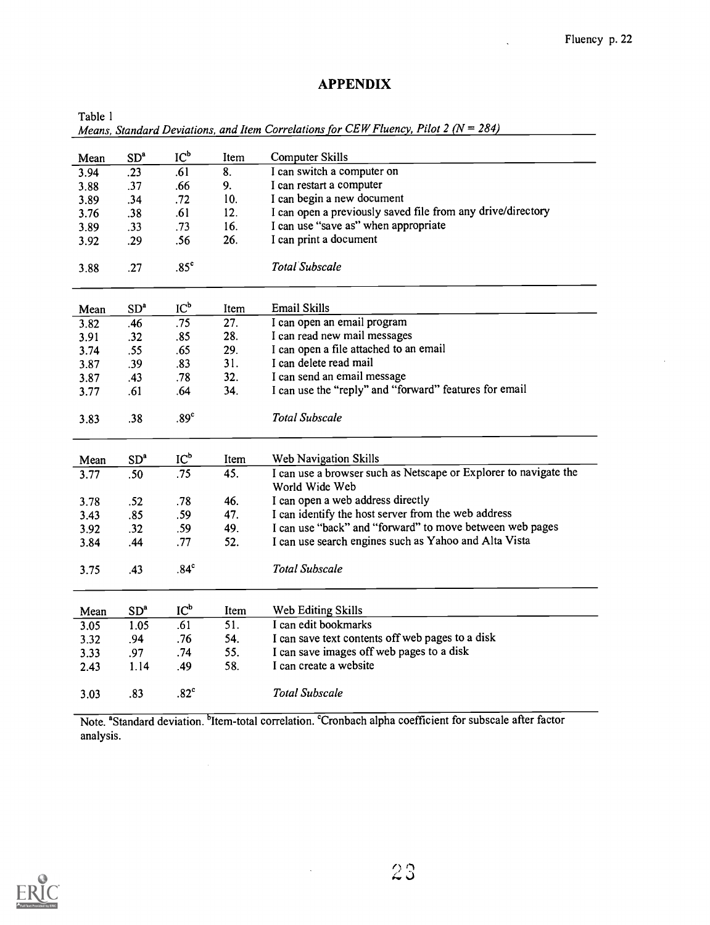# APPENDIX

Table 1

Means, Standard Deviations, and Item Correlations for CEW Fluency, Pilot 2 ( $N = 284$ )

| Mean | SD <sup>a</sup> | $IC_p$           | Item | Computer Skills                                                                    |
|------|-----------------|------------------|------|------------------------------------------------------------------------------------|
| 3.94 | .23             | .61              | 8.   | I can switch a computer on                                                         |
| 3.88 | .37             | .66              | 9.   | I can restart a computer                                                           |
| 3.89 | .34             | .72              | 10.  | I can begin a new document                                                         |
| 3.76 | .38             | .61              | 12.  | I can open a previously saved file from any drive/directory                        |
| 3.89 | .33             | .73              | 16.  | I can use "save as" when appropriate                                               |
| 3.92 | .29             | .56              | 26.  | I can print a document                                                             |
|      |                 |                  |      |                                                                                    |
| 3.88 | .27             | .85 <sup>c</sup> |      | Total Subscale                                                                     |
|      |                 |                  |      |                                                                                    |
| Mean | SD <sup>a</sup> | $IC_p$           | Item | <b>Email Skills</b>                                                                |
| 3.82 | .46             | .75              | 27.  | I can open an email program                                                        |
| 3.91 | .32             | .85              | 28.  | I can read new mail messages                                                       |
| 3.74 | .55             | .65              | 29.  | I can open a file attached to an email                                             |
| 3.87 | .39             | .83              | 31.  | I can delete read mail                                                             |
| 3.87 | .43             | .78              | 32.  | I can send an email message                                                        |
| 3.77 | .61             | .64              | 34.  | I can use the "reply" and "forward" features for email                             |
| 3.83 | .38             | .89 <sup>c</sup> |      | <b>Total Subscale</b>                                                              |
| Mean | SD <sup>a</sup> | $IC_p$           | Item | Web Navigation Skills                                                              |
| 3.77 | .50             | .75              | 45.  | I can use a browser such as Netscape or Explorer to navigate the<br>World Wide Web |
| 3.78 | .52             | .78              | 46.  | I can open a web address directly                                                  |
| 3.43 | .85             | .59              | 47.  | I can identify the host server from the web address                                |
| 3.92 | .32             | .59              | 49.  | I can use "back" and "forward" to move between web pages                           |
| 3.84 | .44             | .77              | 52.  | I can use search engines such as Yahoo and Alta Vista                              |
| 3.75 | .43             | .84 <sup>c</sup> |      | <b>Total Subscale</b>                                                              |
| Mean | SD <sup>a</sup> | $IC_p$           | Item | Web Editing Skills                                                                 |
| 3.05 | 1.05            | .61              | 51.  | I can edit bookmarks                                                               |
| 3.32 | .94             | .76              | 54.  | I can save text contents off web pages to a disk                                   |
| 3.33 | .97             | .74              | 55.  | I can save images off web pages to a disk                                          |
| 2.43 | 1.14            | .49              | 58.  | I can create a website                                                             |
| 3.03 | .83             | .82 <sup>c</sup> |      | <b>Total Subscale</b>                                                              |

Note. "Standard deviation. <sup>b</sup>Item-total correlation. <sup>c</sup>Cronbach alpha coefficient for subscale after factor analysis.

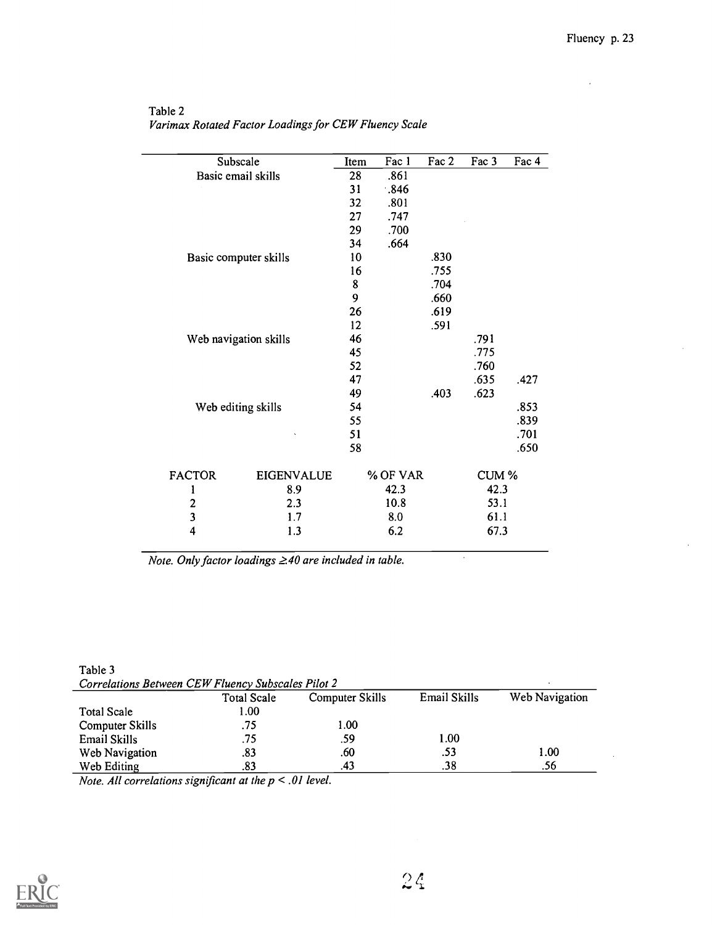| Subscale                           | Item    | Fac 1    | Fac 2 | Fac 3 | Fac 4 |
|------------------------------------|---------|----------|-------|-------|-------|
| Basic email skills                 | 28      | .861     |       |       |       |
|                                    | 31      | .846     |       |       |       |
|                                    | 32      | .801     |       |       |       |
|                                    | 27      | .747     |       |       |       |
|                                    | 29      | .700     |       |       |       |
|                                    | 34      | .664     |       |       |       |
| Basic computer skills              | 10      |          | .830  |       |       |
|                                    | 16      |          | .755  |       |       |
|                                    | $\bf 8$ |          | .704  |       |       |
|                                    | 9       |          | .660  |       |       |
|                                    | 26      |          | .619  |       |       |
|                                    | 12      |          | .591  |       |       |
| Web navigation skills              | 46      |          |       | .791  |       |
|                                    | 45      |          |       | .775  |       |
|                                    | 52      |          |       | .760  |       |
|                                    | 47      |          |       | .635  | .427  |
|                                    | 49      |          | .403  | .623  |       |
| Web editing skills                 | 54      |          |       |       | .853  |
|                                    | 55      |          |       |       | .839  |
|                                    | 51      |          |       |       | .701  |
|                                    | 58      |          |       |       | .650  |
| <b>FACTOR</b><br><b>EIGENVALUE</b> |         | % OF VAR |       | CUM % |       |
| 8.9<br>1                           |         | 42.3     |       | 42.3  |       |
| $\boldsymbol{2}$<br>2.3            |         | 10.8     |       | 53.1  |       |
| $\overline{\mathbf{3}}$<br>1.7     |         | 8.0      |       | 61.1  |       |
| 4<br>1.3                           |         | 6.2      |       | 67.3  |       |

Table 2 Varimax Rotated Factor Loadings for CEW Fluency Scale

Note. Only factor loadings  $\geq 40$  are included in table.

| Table 3                                            |  |
|----------------------------------------------------|--|
| Correlations Between CEW Fluency Subscales Pilot 2 |  |

| Correlations Derween CLII Tuency Subscures Film 4 |             |                 |              |                |  |
|---------------------------------------------------|-------------|-----------------|--------------|----------------|--|
|                                                   | Total Scale | Computer Skills | Email Skills | Web Navigation |  |
| <b>Total Scale</b>                                | .00         |                 |              |                |  |
| Computer Skills                                   | .75         | l.00            |              |                |  |
| Email Skills                                      | .75         | .59             | 1.00         |                |  |
| Web Navigation                                    | .83         | .60             | .53          | 1.00           |  |
| Web Editing                                       | .83         | .43             | .38          | .56            |  |

Note. All correlations significant at the  $p < 0$ l level



 $\bar{\gamma}$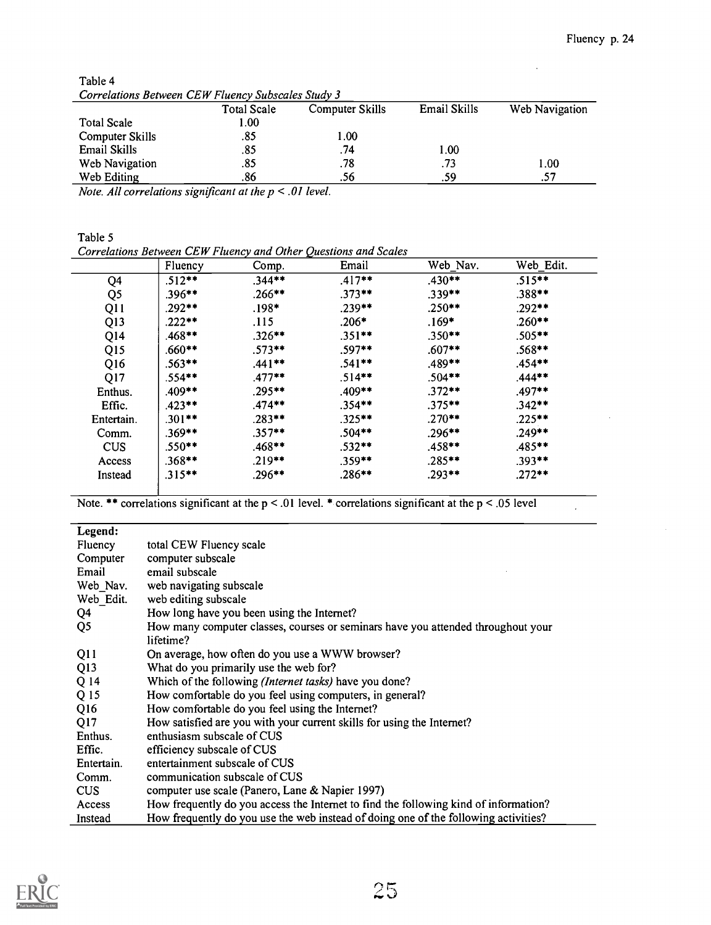$\ddot{\phantom{a}}$ 

| Correlations Between CEW Fluency Subscales Study 3 |             |                 |                     |                |  |  |  |
|----------------------------------------------------|-------------|-----------------|---------------------|----------------|--|--|--|
|                                                    | Total Scale | Computer Skills | <b>Email Skills</b> | Web Navigation |  |  |  |
| <b>Total Scale</b>                                 | 1.00        |                 |                     |                |  |  |  |
| Computer Skills                                    | .85         | 1.00            |                     |                |  |  |  |
| Email Skills                                       | .85         | .74             | .00.                |                |  |  |  |
| Web Navigation                                     | .85         | .78             | .73                 | 1.00           |  |  |  |
| Web Editing                                        | .86         | .56             | .59                 | .57            |  |  |  |

Table 4 Correlations Between CEW Fluency Subscales Study 3

Note. All correlations significant at the p < .01 level.

Table 5

Correlations Between CEW Fluency and Other Questions and Scales

|                 | Fluency   | Comp.     | Email     | Web Nav.  | Web Edit. |
|-----------------|-----------|-----------|-----------|-----------|-----------|
| Q4              | $.512**$  | $.344**$  | $.417**$  | $.430**$  | $.515***$ |
| Q <sub>5</sub>  | $.396**$  | $.266***$ | $.373**$  | $.339**$  | $.388***$ |
| Q11             | $.292**$  | $.198*$   | $.239**$  | $.250**$  | $.292**$  |
| Q <sub>13</sub> | $.222**$  | .115      | $.206*$   | $.169*$   | $.260***$ |
| Q14             | $.468**$  | $.326**$  | $.351**$  | $.350**$  | $.505**$  |
| Q <sub>15</sub> | $.660**$  | $.573**$  | $.597**$  | $.607**$  | $.568$ ** |
| Q16             | $.563**$  | $.441**$  | $.541**$  | $.489**$  | $.454**$  |
| Q17             | $.554***$ | $.477**$  | $.514**$  | $.504**$  | $.444***$ |
| Enthus.         | $.409**$  | $.295**$  | $.409**$  | $.372**$  | $.497**$  |
| Effic.          | $.423**$  | $.474**$  | $.354**$  | $.375***$ | $.342**$  |
| Entertain.      | $.301**$  | $.283**$  | $.325**$  | $.270**$  | $.225***$ |
| Comm.           | $.369**$  | $.357**$  | $.504***$ | $.296***$ | $.249**$  |
| <b>CUS</b>      | $.550**$  | $.468**$  | $.532**$  | $.458**$  | $.485**$  |
| Access          | $.368**$  | $.219***$ | $.359**$  | $.285***$ | $.393**$  |
| Instead         | $.315***$ | $.296**$  | $.286***$ | $.293**$  | $.272**$  |

Note. \*\* correlations significant at the  $p < .01$  level. \* correlations significant at the  $p < .05$  level

| Legend:        |                                                                                      |
|----------------|--------------------------------------------------------------------------------------|
| Fluency        | total CEW Fluency scale                                                              |
| Computer       | computer subscale                                                                    |
| Email          | email subscale                                                                       |
| Web Nav.       | web navigating subscale                                                              |
| Web Edit.      | web editing subscale                                                                 |
| Q4             | How long have you been using the Internet?                                           |
| Q <sub>5</sub> | How many computer classes, courses or seminars have you attended throughout your     |
|                | lifetime?                                                                            |
| Q11            | On average, how often do you use a WWW browser?                                      |
| Q13            | What do you primarily use the web for?                                               |
| Q 14           | Which of the following (Internet tasks) have you done?                               |
| Q 15           | How comfortable do you feel using computers, in general?                             |
| Q16            | How comfortable do you feel using the Internet?                                      |
| Q17            | How satisfied are you with your current skills for using the Internet?               |
| Enthus.        | enthusiasm subscale of CUS                                                           |
| Effic.         | efficiency subscale of CUS                                                           |
| Entertain.     | entertainment subscale of CUS                                                        |
| Comm.          | communication subscale of CUS                                                        |
| CUS            | computer use scale (Panero, Lane & Napier 1997)                                      |
| Access         | How frequently do you access the Internet to find the following kind of information? |
| Instead        | How frequently do you use the web instead of doing one of the following activities?  |

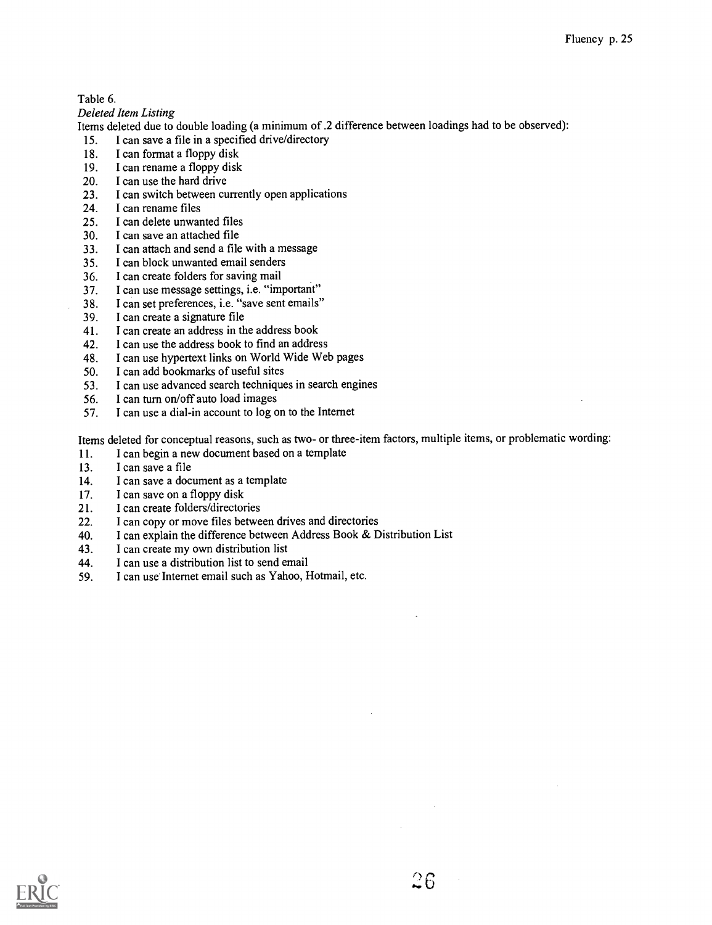#### Table 6.

Deleted Item Listing

Items deleted due to double loading (a minimum of .2 difference between loadings had to be observed):

- 15. I can save a file in a specified drive/directory
- 18. I can format a floppy disk
- 19. I can rename a floppy disk<br>20. I can use the hard drive
- I can use the hard drive
- 23. I can switch between currently open applications<br>24. I can rename files
- 24. I can rename files<br>25. I can delete unwar
- I can delete unwanted files
- 30. I can save an attached file
- 33. I can attach and send a file with a message
- 35. I can block unwanted email senders
- 36. I can create folders for saving mail
- 37. I can use message settings, i.e. "important"<br>38. I can set preferences, i.e. "save sent emails"
- I can set preferences, i.e. "save sent emails"
- 39. I can create a signature file<br>41. I can create an address in the
- I can create an address in the address book
- 42. I can use the address book to find an address 48. I can use hypertext links on World Wide Web
- 48. I can use hypertext links on World Wide Web pages 50. I can add bookmarks of useful sites
- I can add bookmarks of useful sites
- 53. I can use advanced search techniques in search engines<br>56. I can turn on/off auto load images
- I can turn on/off auto load images
- 57. I can use a dial-in account to log on to the Internet

Items deleted for conceptual reasons, such as two- or three-item factors, multiple items, or problematic wording:

- 11. I can begin a new document based on a template
- 13. I can save a file
- 14. I can save a document as a template
- 
- 17. I can save on a floppy disk<br>21. I can create folders/director I can create folders/directories
- 22. I can copy or move files between drives and directories
- 40. I can explain the difference between Address Book & Distribution List
- 43. I can create my own distribution list
- 44. I can use a distribution list to send email
- 59. I can use Internet email such as Yahoo, Hotmail, etc.

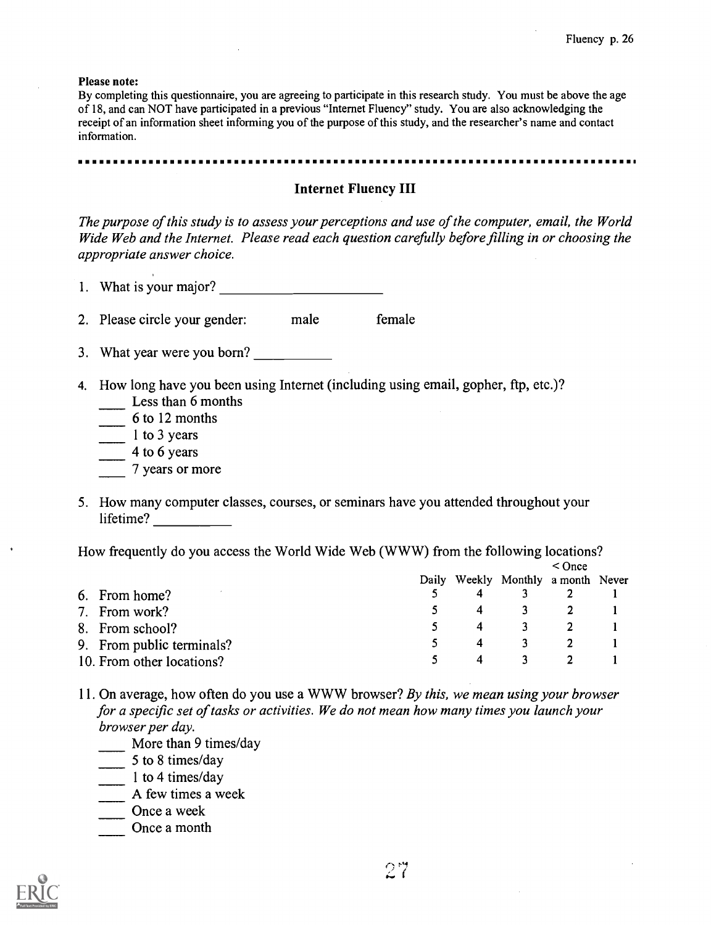Please note:

By completing this questionnaire, you are agreeing to participate in this research study. You must be above the age of 18, and can NOT have participated in a previous "Internet Fluency" study. You are also acknowledging the receipt of an information sheet informing you of the purpose of this study, and the researcher's name and contact information.

#### . . . . . . . . . . . . .

#### Internet Fluency III

The purpose of this study is to assess your perceptions and use of the computer, email, the World Wide Web and the Internet. Please read each question carefully before filling in or choosing the appropriate answer choice.

1. What is your major?

2. Please circle your gender: male female

- 3. What year were you born?
- 4. How long have you been using Internet (including using email, gopher, ftp, etc.)?
	- Less than 6 months
	- $\frac{1}{\sqrt{1-\frac{1}{\sqrt{1-\frac{1}{\sqrt{1-\frac{1}{\sqrt{1-\frac{1}{\sqrt{1-\frac{1}{\sqrt{1-\frac{1}{\sqrt{1-\frac{1}{\sqrt{1-\frac{1}{\sqrt{1-\frac{1}{\sqrt{1-\frac{1}{\sqrt{1-\frac{1}{\sqrt{1-\frac{1}{\sqrt{1-\frac{1}{\sqrt{1-\frac{1}{\sqrt{1-\frac{1}{\sqrt{1-\frac{1}{\sqrt{1-\frac{1}{\sqrt{1-\frac{1}{\sqrt{1-\frac{1}{\sqrt{1-\frac{1}{\sqrt{1-\frac{1}{\sqrt{1-\frac{1}{\sqrt{1-\frac{1}{\sqrt{1-\frac{1$
	- $\frac{1}{\sqrt{1}}$  1 to 3 years
	- $\frac{4}{10}$  4 to 6 years
	- 7 years or more
- 5. How many computer classes, courses, or seminars have you attended throughout your lifetime?

How frequently do you access the World Wide Web (WWW) from the following locations?

|                           | $<$ Once |    |                                    |  |  |
|---------------------------|----------|----|------------------------------------|--|--|
|                           |          |    | Daily Weekly Monthly a month Never |  |  |
| 6. From home?             |          |    |                                    |  |  |
| 7. From work?             | 5.       | -4 | $\sim$ 3                           |  |  |
| 8. From school?           |          | 4  |                                    |  |  |
| 9. From public terminals? |          | 4  | 3.                                 |  |  |
| 10. From other locations? |          | 4  | 3.                                 |  |  |

- 11. On average, how often do you use a WWW browser? By this, we mean using your browser for a specific set of tasks or activities. We do not mean how many times you launch your browser per day.
	- More than 9 times/day
	- $5$  to 8 times/day
	- 1 to 4 times/day
	- A few times a week
	- Once a week
	- Once a month

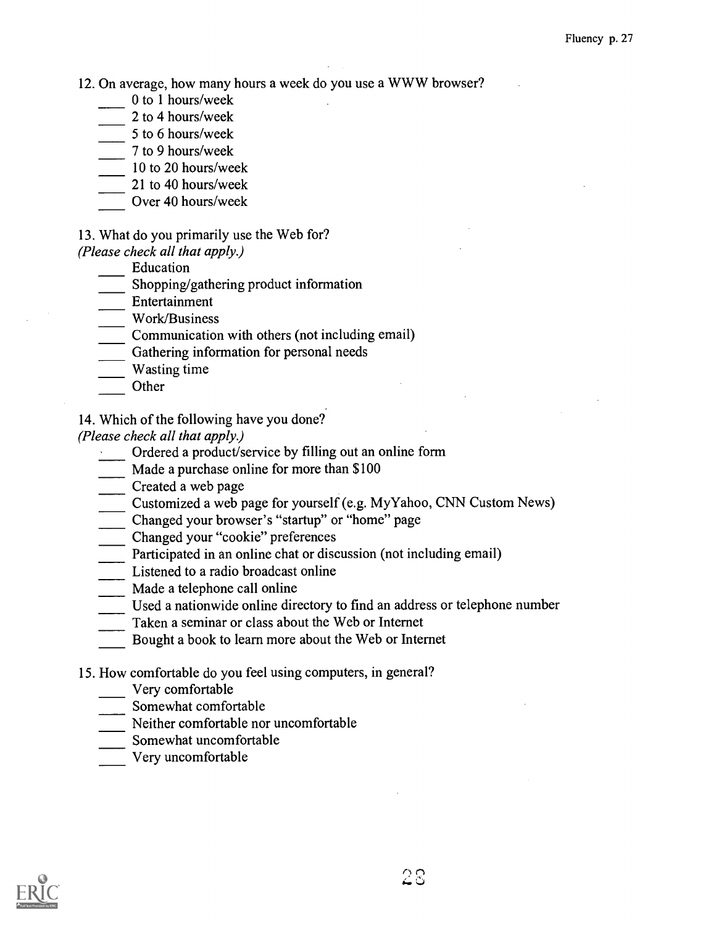12. On average, how many hours a week do you use a WWW browser?

- 0 to 1 hours/week
- 2 to 4 hours/week
- $\frac{5 \text{ to } 6 \text{ hours/week}}{2}$
- 7 to 9 hours/week
- 10 to 20 hours/week
- 21 to 40 hours/week
- Over 40 hours/week
- 13. What do you primarily use the Web for?

(Please check all that apply.)

- Education
- Shopping/gathering product information
- Entertainment

Work/Business

- Communication with others (not including email)
- Gathering information for personal needs
- Wasting time
- **Other**
- 14. Which of the following have you done?

(Please check all that apply.)

Ordered a product/service by filling out an online form

Made a purchase online for more than \$100

- Created a web page
- Customized a web page for yourself (e.g. My Yahoo, CNN Custom News)
- Changed your browser's "startup" or "home" page
- Changed your "cookie" preferences
- Participated in an online chat or discussion (not including email)
- Listened to a radio broadcast online
- Made a telephone call online
- Used a nationwide online directory to find an address or telephone number
- Taken a seminar or class about the Web or Internet
- Bought a book to learn more about the Web or Internet
- 15. How comfortable do you feel using computers, in general?
	- Very comfortable
	- Somewhat comfortable
	- Neither comfortable nor uncomfortable
	- Somewhat uncomfortable
	- Very uncomfortable

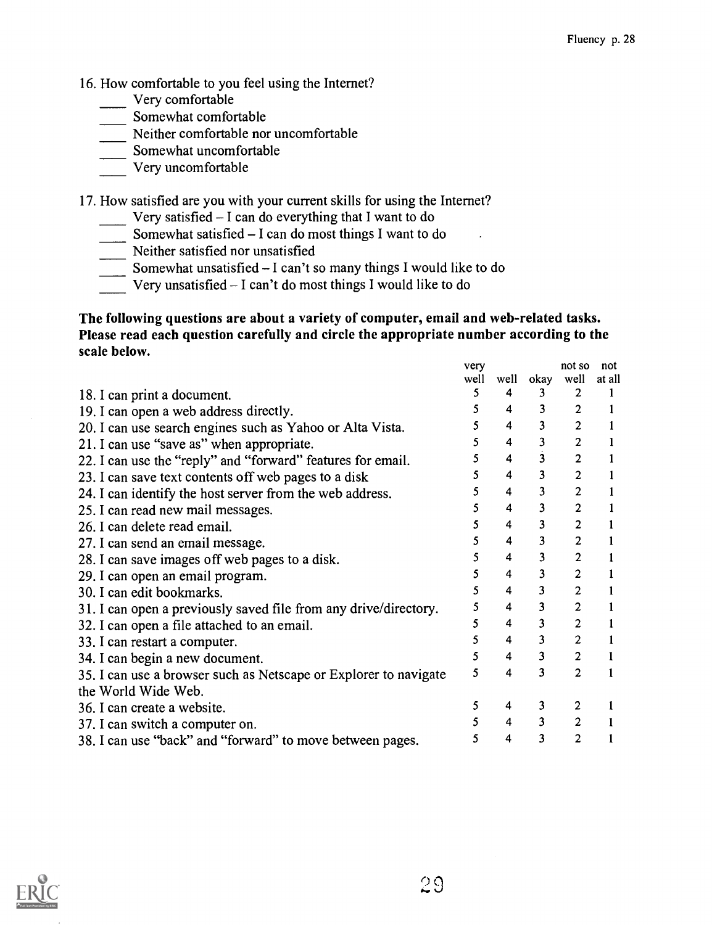- 16. How comfortable to you feel using the Internet?
	- Very comfortable
	- Somewhat comfortable
	- Neither comfortable nor uncomfortable
	- Somewhat uncomfortable
	- Very uncomfortable

17. How satisfied are you with your current skills for using the Internet?

- Very satisfied  $-1$  can do everything that I want to do
- Somewhat satisfied  $-1$  can do most things I want to do

Neither satisfied nor unsatisfied

- Somewhat unsatisfied I can't so many things I would like to do
- $\overline{\phantom{a}}$  Very unsatisfied I can't do most things I would like to do

# The following questions are about a variety of computer, email and web-related tasks. Please read each question carefully and circle the appropriate number according to the scale below.

|                                                                  | very |                         |                         | not so         | not    |  |
|------------------------------------------------------------------|------|-------------------------|-------------------------|----------------|--------|--|
|                                                                  | well | well                    | okay                    | well           | at all |  |
| 18. I can print a document.                                      | 5    | 4                       | 3.                      |                |        |  |
| 19. I can open a web address directly.                           | 5.   | 4                       | 3                       | $\overline{2}$ |        |  |
| 20. I can use search engines such as Yahoo or Alta Vista.        |      | 4                       | 3                       | $\overline{2}$ |        |  |
| 21. I can use "save as" when appropriate.                        | 5.   | 4                       | 3                       | $\overline{2}$ |        |  |
| 22. I can use the "reply" and "forward" features for email.      |      | 4                       | $\overline{\mathbf{3}}$ | $\overline{c}$ |        |  |
| 23. I can save text contents off web pages to a disk             | 5    | 4                       | 3                       | $\mathbf{2}$   |        |  |
| 24. I can identify the host server from the web address.         | 5.   | 4                       | $\overline{\mathbf{3}}$ | $\overline{c}$ |        |  |
| 25. I can read new mail messages.                                |      | 4                       | 3                       | $\overline{2}$ |        |  |
| 26. I can delete read email.                                     | 5.   | 4                       | $\overline{\mathbf{3}}$ | $\overline{2}$ |        |  |
| 27. I can send an email message.                                 |      | 4                       | 3                       | 2              |        |  |
| 28. I can save images off web pages to a disk.                   |      | 4                       | 3                       | $\overline{2}$ |        |  |
| 29. I can open an email program.                                 |      | $\overline{\mathbf{4}}$ | 3                       | $\overline{2}$ |        |  |
| 30. I can edit bookmarks.                                        |      | 4                       | $\overline{\mathbf{3}}$ | 2              |        |  |
| 31. I can open a previously saved file from any drive/directory. | 5    | 4                       | 3                       | $\overline{2}$ |        |  |
| 32. I can open a file attached to an email.                      |      | 4                       | 3                       | $\overline{2}$ |        |  |
| 33. I can restart a computer.                                    |      | 4                       | $\overline{\mathbf{3}}$ | $\overline{2}$ |        |  |
| 34. I can begin a new document.                                  | 5    | $\overline{\mathbf{4}}$ | $\overline{\mathbf{3}}$ | $\overline{2}$ |        |  |
| 35. I can use a browser such as Netscape or Explorer to navigate | 5    | 4                       | 3                       | 2              |        |  |
| the World Wide Web.                                              |      |                         |                         |                |        |  |
| 36. I can create a website.                                      | 5    | 4                       | 3                       | 2              |        |  |
| 37. I can switch a computer on.                                  |      | $\overline{\mathbf{4}}$ | 3                       |                |        |  |
| 38. I can use "back" and "forward" to move between pages.        | 5    | 4                       | 3                       | 2              |        |  |

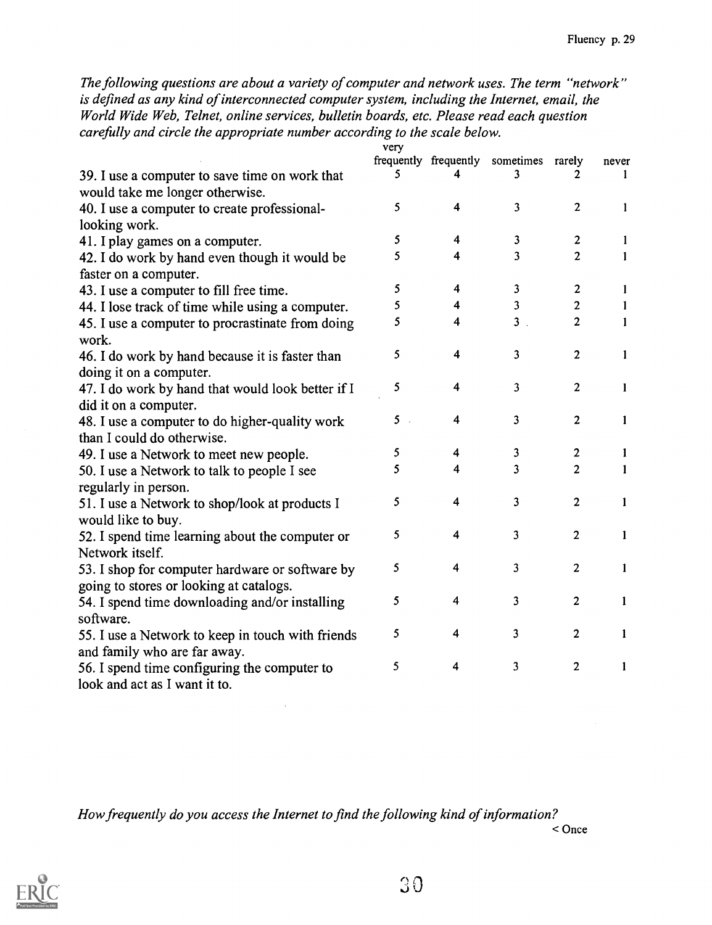The following questions are about a variety of computer and network uses. The term "network" is defined as any kind of interconnected computer system, including the Internet, email, the World Wide Web, Telnet, online services, bulletin boards, etc. Please read each question carefully and circle the appropriate number according to the scale below.

|                                                   | very |                         |                         |                |              |  |
|---------------------------------------------------|------|-------------------------|-------------------------|----------------|--------------|--|
|                                                   |      | frequently frequently   | sometimes               | rarely         | never        |  |
| 39. I use a computer to save time on work that    | 5    |                         | 3                       | 2              | 1            |  |
| would take me longer otherwise.                   |      |                         |                         |                |              |  |
| 40. I use a computer to create professional-      | 5    | $\overline{\mathbf{4}}$ | $\overline{\mathbf{3}}$ | $\overline{2}$ | 1            |  |
| looking work.                                     |      |                         |                         |                |              |  |
| 41. I play games on a computer.                   | 5    | 4                       | 3                       | 2              | 1            |  |
| 42. I do work by hand even though it would be     | 5    | 4                       | 3                       | $\overline{2}$ | 1            |  |
| faster on a computer.                             |      |                         |                         |                |              |  |
| 43. I use a computer to fill free time.           | 5    | 4                       | 3                       | $\mathbf{2}$   | $\mathbf{1}$ |  |
| 44. I lose track of time while using a computer.  | 5    | 4                       | $\overline{\mathbf{3}}$ | $\mathbf{2}$   | 1            |  |
| 45. I use a computer to procrastinate from doing  | 5    | 4                       | 3 <sub>1</sub>          | $\overline{2}$ | $\mathbf{1}$ |  |
| work.                                             |      |                         |                         |                |              |  |
| 46. I do work by hand because it is faster than   | 5    | $\overline{\mathbf{4}}$ | 3                       | $\mathbf{2}$   | 1            |  |
| doing it on a computer.                           |      |                         |                         |                |              |  |
| 47. I do work by hand that would look better if I | 5    | 4                       | 3                       | $\overline{2}$ | 1            |  |
| did it on a computer.                             |      |                         |                         |                |              |  |
| 48. I use a computer to do higher-quality work    | 5    | $\overline{\mathbf{4}}$ | 3                       | $\overline{c}$ | 1            |  |
| than I could do otherwise.                        |      |                         |                         |                |              |  |
| 49. I use a Network to meet new people.           | 5    | 4                       | 3                       | $\mathbf{2}$   | 1            |  |
| 50. I use a Network to talk to people I see       | 5    | 4                       | 3                       | 2              | 1            |  |
| regularly in person.                              |      |                         |                         |                |              |  |
| 51. I use a Network to shop/look at products I    | 5    | 4                       | 3                       | $\overline{2}$ | 1            |  |
| would like to buy.                                |      |                         |                         |                |              |  |
| 52. I spend time learning about the computer or   | 5    | 4                       | 3                       | $\overline{2}$ | $\mathbf{1}$ |  |
| Network itself.                                   |      |                         |                         |                |              |  |
| 53. I shop for computer hardware or software by   | 5    | 4                       | 3                       | $\overline{2}$ | 1            |  |
| going to stores or looking at catalogs.           |      |                         |                         |                |              |  |
| 54. I spend time downloading and/or installing    | 5    | 4                       | 3                       | $\mathbf{2}$   | 1            |  |
| software.                                         |      |                         |                         |                |              |  |
| 55. I use a Network to keep in touch with friends | 5    | 4                       | 3                       | $\overline{2}$ | 1            |  |
| and family who are far away.                      |      |                         |                         |                |              |  |
| 56. I spend time configuring the computer to      | 5    | 4                       | 3                       | $\overline{2}$ | 1            |  |
| look and act as I want it to.                     |      |                         |                         |                |              |  |

How frequently do you access the Internet to find the following kind of information? < Once

 $\sim$   $\sim$ 

30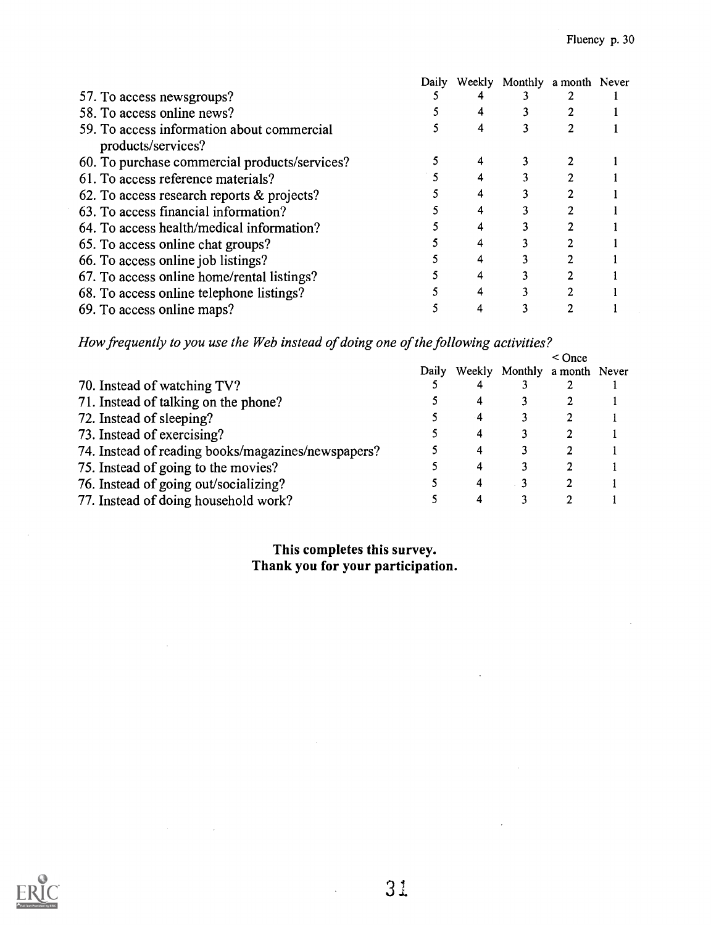|                                                                  | Daily | Weekly Monthly a month Never |  |
|------------------------------------------------------------------|-------|------------------------------|--|
| 57. To access newsgroups?                                        |       |                              |  |
| 58. To access online news?                                       |       |                              |  |
| 59. To access information about commercial<br>products/services? |       |                              |  |
|                                                                  |       |                              |  |
| 60. To purchase commercial products/services?                    |       |                              |  |
| 61. To access reference materials?                               |       |                              |  |
| 62. To access research reports $\&$ projects?                    |       |                              |  |
| 63. To access financial information?                             |       |                              |  |
| 64. To access health/medical information?                        |       |                              |  |
| 65. To access online chat groups?                                |       |                              |  |
| 66. To access online job listings?                               |       |                              |  |
| 67. To access online home/rental listings?                       |       |                              |  |
| 68. To access online telephone listings?                         |       |                              |  |
| 69. To access online maps?                                       |       |                              |  |

How frequently to you use the Web instead of doing one of the following activities?

|                                                    |       |    |                              | $<$ Once |  |
|----------------------------------------------------|-------|----|------------------------------|----------|--|
|                                                    | Daily |    | Weekly Monthly a month Never |          |  |
| 70. Instead of watching TV?                        |       |    |                              |          |  |
| 71. Instead of talking on the phone?               |       |    |                              |          |  |
| 72. Instead of sleeping?                           |       | -4 |                              |          |  |
| 73. Instead of exercising?                         |       |    |                              |          |  |
| 74. Instead of reading books/magazines/newspapers? |       |    |                              |          |  |
| 75. Instead of going to the movies?                |       |    |                              |          |  |
| 76. Instead of going out/socializing?              |       |    |                              |          |  |
| 77. Instead of doing household work?               |       |    |                              |          |  |

# This completes this survey. Thank you for your participation.

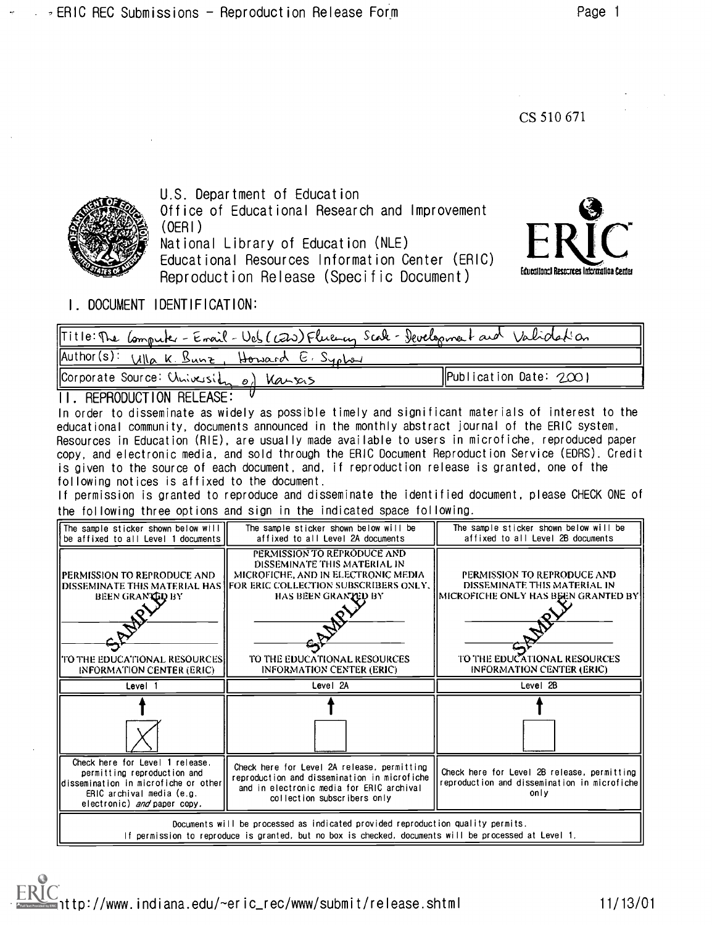CS 510 671



U.S. Department of Education Office of Educational Research and Improvement (OERI) National Library of Education (NLE) Educational Resources Information Center (ERIC) and a constructional Resources Intermation Center

Reproduction Release (Specific Document)



I. DOCUMENT IDENTIFICATION:

| Title: The Computer - Errail - Ves (CEW) Fluency Scale - Development and Validation |                                |
|-------------------------------------------------------------------------------------|--------------------------------|
| Author(s): Wha K. Bunz, Howard E. Sypbox                                            |                                |
| Corporate Source: Chrisession of Varsos                                             | $\vert$ Publication Date: 2001 |

### II. REPRODUCTION RELEASE:

In order to disseminate as widely as possible timely and significant materials of interest to the educational community, documents announced in the monthly abstract journal of the ERIC system, Resources in Education (R1E), are usually made available to users in microfiche, reproduced paper copy, and electronic media, and sold through the ERIC Document Reproduction Service (EDRS). Credit is given to the source of each document, and, if reproduction release is granted, one of the following notices is affixed to the document.

If permission is granted to reproduce and disseminate the identified document, please CHECK ONE of the following three options and sign in the indicated space following.

| The sample sticker shown below will<br>be affixed to all Level 1 documents                                                                                                               | The sample sticker shown below will be<br>affixed to all Level 2A documents                                                                                                                         | The sample sticker shown below will be<br>affixed to all Level 2B documents                                                         |  |
|------------------------------------------------------------------------------------------------------------------------------------------------------------------------------------------|-----------------------------------------------------------------------------------------------------------------------------------------------------------------------------------------------------|-------------------------------------------------------------------------------------------------------------------------------------|--|
| IPERMISSION TO REPRODUCE AND<br>DISSEMINATE THIS MATERIAL HAS I<br><b>BEEN GRANTED BY</b><br>TO THE EDUCATIONAL RESOURCES!                                                               | PERMISSION TO REPRODUCE AND<br>DISSEMINATE THIS MATERIAL IN<br>MICROFICHE, AND IN ELECTRONIC MEDIA<br> FOR ERIC COLLECTION SUBSCRIBERS ONLY.<br>HAS BEEN GRANZED BY<br>TO THE EDUCATIONAL RESOURCES | PERMISSION TO REPRODUCE AND<br>DISSEMINATE THIS MATERIAL IN<br>IMICROFICHE ONLY HAS BEEN GRANTED BY<br>TO THE EDUCATIONAL RESOURCES |  |
| <b>INFORMATION CENTER (ERIC)</b><br>Level 1                                                                                                                                              | <b>INFORMATION CENTER (ERIC)</b><br>Level 2A                                                                                                                                                        | <b>INFORMATION CENTER (ERIC)</b><br>Level 2B                                                                                        |  |
|                                                                                                                                                                                          |                                                                                                                                                                                                     |                                                                                                                                     |  |
| Check here for Level 1 release.<br>permitting reproduction and<br>ldissemination in microfiche or other<br>ERIC archival media (e.g.<br>electronic) and paper copy.                      | Check here for Level 2A release, permitting<br>reproduction and dissemination in microfiche<br>and in electronic media for ERIC archival<br>collection subscribers only                             | Check here for Level 2B release, permitting<br>reproduction and dissemination in microfichel<br>only                                |  |
| Documents will be processed as indicated provided reproduction quality permits.<br>If permission to reproduce is granted, but no box is checked, documents will be processed at Level 1. |                                                                                                                                                                                                     |                                                                                                                                     |  |